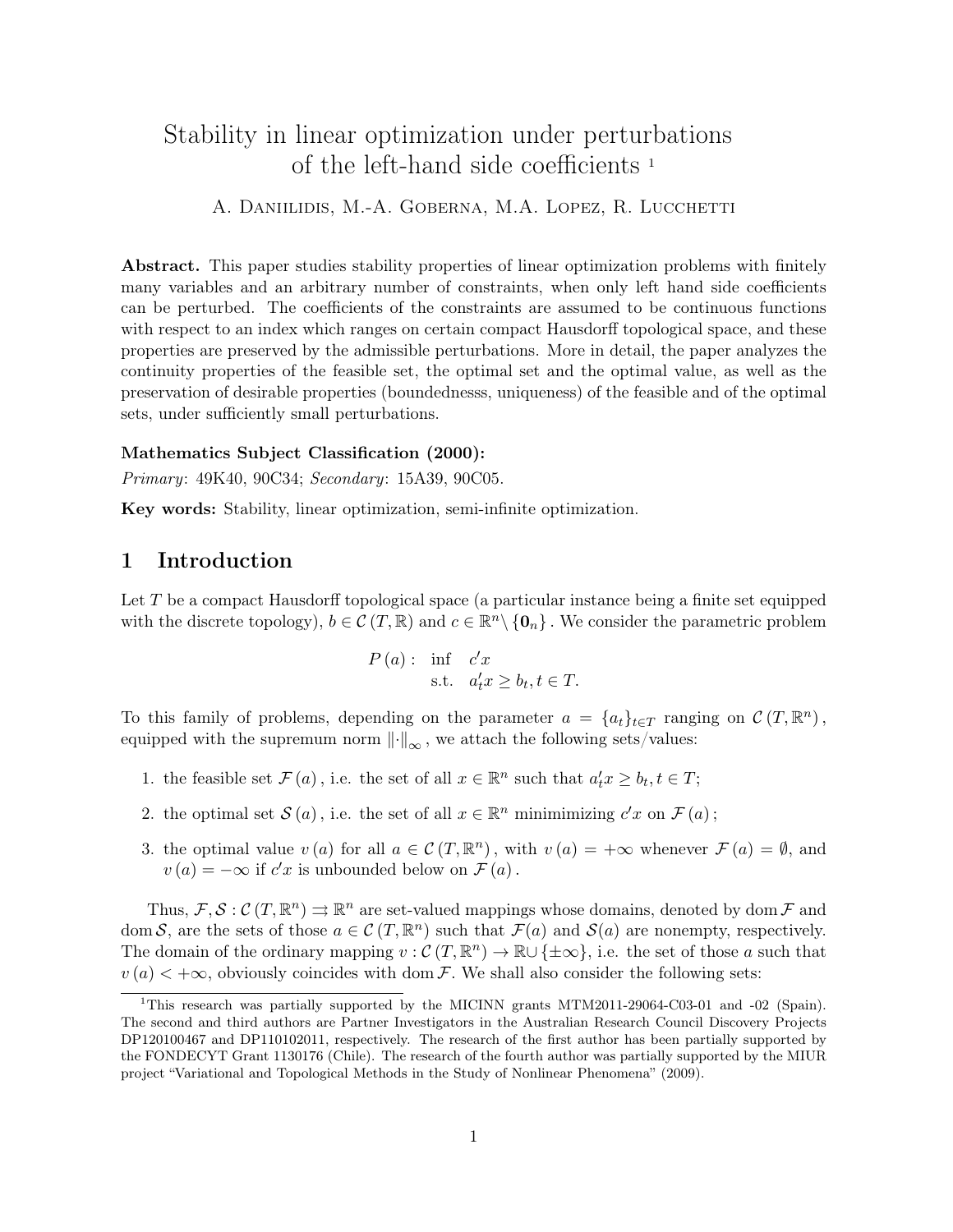# Stability in linear optimization under perturbations of the left-hand side coefficients <sup>1</sup>

## A. DANIILIDIS, M.-A. GOBERNA, M.A. LOPEZ, R. LUCCHETTI

Abstract. This paper studies stability properties of linear optimization problems with finitely many variables and an arbitrary number of constraints, when only left hand side coefficients can be perturbed. The coefficients of the constraints are assumed to be continuous functions with respect to an index which ranges on certain compact Hausdorff topological space, and these properties are preserved by the admissible perturbations. More in detail, the paper analyzes the continuity properties of the feasible set, the optimal set and the optimal value, as well as the preservation of desirable properties (boundednesss, uniqueness) of the feasible and of the optimal sets, under sufficiently small perturbations.

## Mathematics Subject Classification (2000):

Primary: 49K40, 90C34; Secondary: 15A39, 90C05.

Key words: Stability, linear optimization, semi-infinite optimization.

# 1 Introduction

Let  $T$  be a compact Hausdorff topological space (a particular instance being a finite set equipped with the discrete topology),  $b \in \mathcal{C}(T, \mathbb{R})$  and  $c \in \mathbb{R}^n \setminus \{0_n\}$ . We consider the parametric problem

$$
P(a): \inf_{\text{s.t.}} c'_x
$$
  
s.t.  $a'_t x \ge b_t, t \in T$ .

To this family of problems, depending on the parameter  $a = \{a_t\}_{t \in T}$  ranging on  $\mathcal{C}(T, \mathbb{R}^n)$ , equipped with the supremum norm  $\left\| \cdot \right\|_{\infty}$ , we attach the following sets/values:

- 1. the feasible set  $\mathcal{F}(a)$ , i.e. the set of all  $x \in \mathbb{R}^n$  such that  $a'_t x \geq b_t, t \in T$ ;
- 2. the optimal set  $S(a)$ , i.e. the set of all  $x \in \mathbb{R}^n$  minimimizing  $c'x$  on  $\mathcal{F}(a)$ ;
- 3. the optimal value  $v(a)$  for all  $a \in \mathcal{C}(T, \mathbb{R}^n)$ , with  $v(a) = +\infty$  whenever  $\mathcal{F}(a) = \emptyset$ , and  $v(a) = -\infty$  if  $c'x$  is unbounded below on  $\mathcal{F}(a)$ .

Thus,  $\mathcal{F}, \mathcal{S}: \mathcal{C}(T, \mathbb{R}^n) \Rightarrow \mathbb{R}^n$  are set-valued mappings whose domains, denoted by dom  $\mathcal{F}$  and dom S, are the sets of those  $a \in \mathcal{C}(T, \mathbb{R}^n)$  such that  $\mathcal{F}(a)$  and  $\mathcal{S}(a)$  are nonempty, respectively. The domain of the ordinary mapping  $v : \mathcal{C}(T, \mathbb{R}^n) \to \mathbb{R} \cup {\pm \infty}$ , i.e. the set of those a such that  $v(a) < +\infty$ , obviously coincides with dom F. We shall also consider the following sets:

<sup>&</sup>lt;sup>1</sup>This research was partially supported by the MICINN grants MTM2011-29064-C03-01 and -02 (Spain). The second and third authors are Partner Investigators in the Australian Research Council Discovery Projects DP120100467 and DP110102011, respectively. The research of the first author has been partially supported by the FONDECYT Grant 1130176 (Chile). The research of the fourth author was partially supported by the MIUR project "Variational and Topological Methods in the Study of Nonlinear Phenomena" (2009).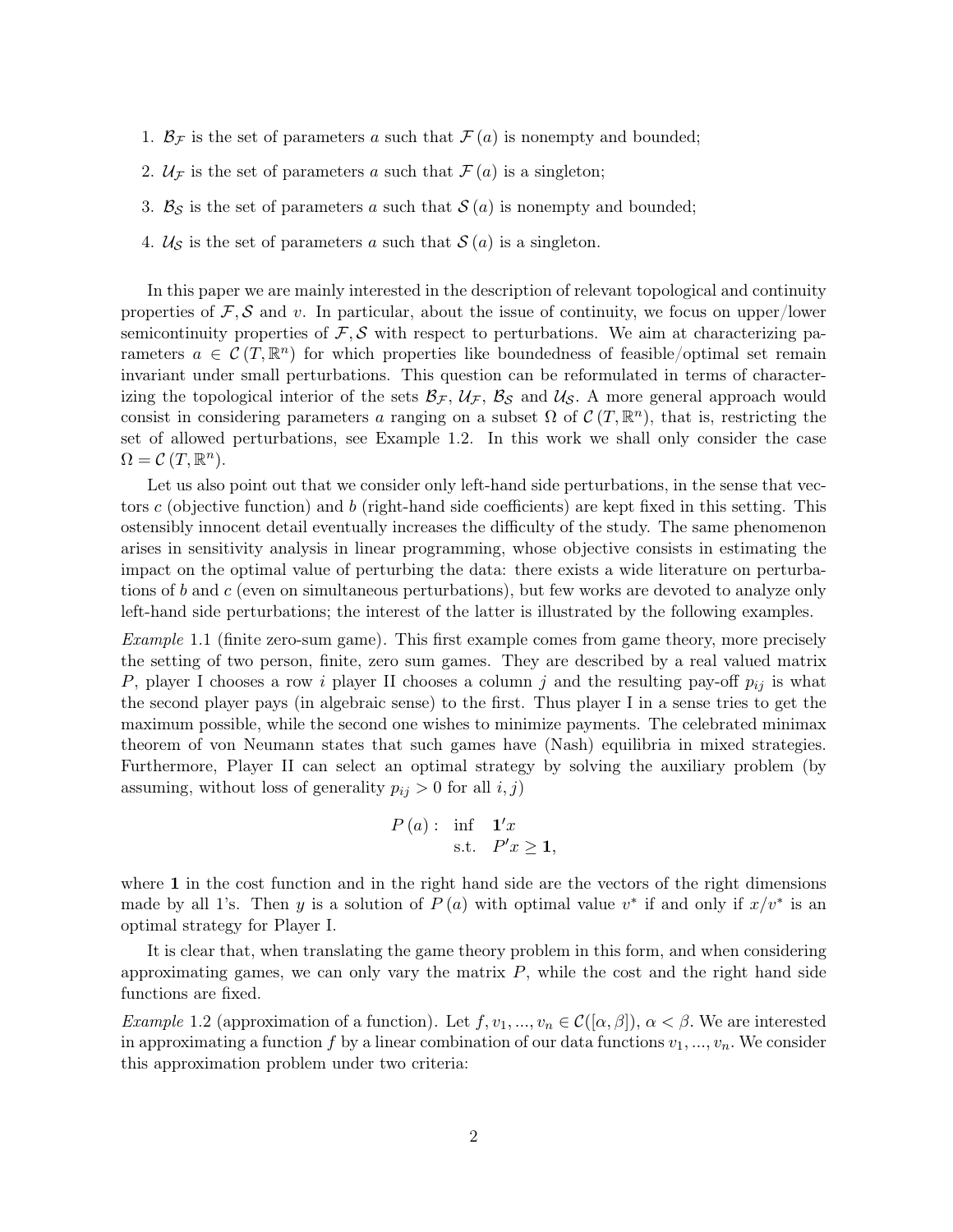- 1.  $\mathcal{B}_\mathcal{F}$  is the set of parameters a such that  $\mathcal{F}(a)$  is nonempty and bounded;
- 2.  $\mathcal{U}_{\mathcal{F}}$  is the set of parameters a such that  $\mathcal{F}(a)$  is a singleton;
- 3.  $\mathcal{B}_{\mathcal{S}}$  is the set of parameters a such that  $\mathcal{S}(a)$  is nonempty and bounded;
- 4.  $U<sub>S</sub>$  is the set of parameters a such that  $S(a)$  is a singleton.

In this paper we are mainly interested in the description of relevant topological and continuity properties of  $\mathcal{F}, \mathcal{S}$  and v. In particular, about the issue of continuity, we focus on upper/lower semicontinuity properties of  $\mathcal{F}, \mathcal{S}$  with respect to perturbations. We aim at characterizing parameters  $a \in \mathcal{C}(T,\mathbb{R}^n)$  for which properties like boundedness of feasible/optimal set remain invariant under small perturbations. This question can be reformulated in terms of characterizing the topological interior of the sets  $\mathcal{B}_{\mathcal{F}}$ ,  $\mathcal{U}_{\mathcal{F}}$ ,  $\mathcal{B}_{\mathcal{S}}$  and  $\mathcal{U}_{\mathcal{S}}$ . A more general approach would consist in considering parameters a ranging on a subset  $\Omega$  of  $\mathcal{C}(T,\mathbb{R}^n)$ , that is, restricting the set of allowed perturbations, see Example 1.2. In this work we shall only consider the case  $\Omega = \mathcal{C}(T, \mathbb{R}^n).$ 

Let us also point out that we consider only left-hand side perturbations, in the sense that vectors c (objective function) and b (right-hand side coefficients) are kept fixed in this setting. This ostensibly innocent detail eventually increases the difficulty of the study. The same phenomenon arises in sensitivity analysis in linear programming, whose objective consists in estimating the impact on the optimal value of perturbing the data: there exists a wide literature on perturbations of b and c (even on simultaneous perturbations), but few works are devoted to analyze only left-hand side perturbations; the interest of the latter is illustrated by the following examples.

Example 1.1 (finite zero-sum game). This first example comes from game theory, more precisely the setting of two person, finite, zero sum games. They are described by a real valued matrix P, player I chooses a row i player II chooses a column j and the resulting pay-off  $p_{ij}$  is what the second player pays (in algebraic sense) to the first. Thus player I in a sense tries to get the maximum possible, while the second one wishes to minimize payments. The celebrated minimax theorem of von Neumann states that such games have (Nash) equilibria in mixed strategies. Furthermore, Player II can select an optimal strategy by solving the auxiliary problem (by assuming, without loss of generality  $p_{ij} > 0$  for all  $i, j$ )

$$
P(a): \inf_{\text{s.t.}} \mathbf{1}'x
$$
  

$$
P'x \ge 1,
$$

where 1 in the cost function and in the right hand side are the vectors of the right dimensions made by all 1's. Then y is a solution of  $P(a)$  with optimal value  $v^*$  if and only if  $x/v^*$  is an optimal strategy for Player I.

It is clear that, when translating the game theory problem in this form, and when considering approximating games, we can only vary the matrix  $P$ , while the cost and the right hand side functions are fixed.

Example 1.2 (approximation of a function). Let  $f, v_1, ..., v_n \in C([\alpha, \beta]), \alpha < \beta$ . We are interested in approximating a function f by a linear combination of our data functions  $v_1, ..., v_n$ . We consider this approximation problem under two criteria: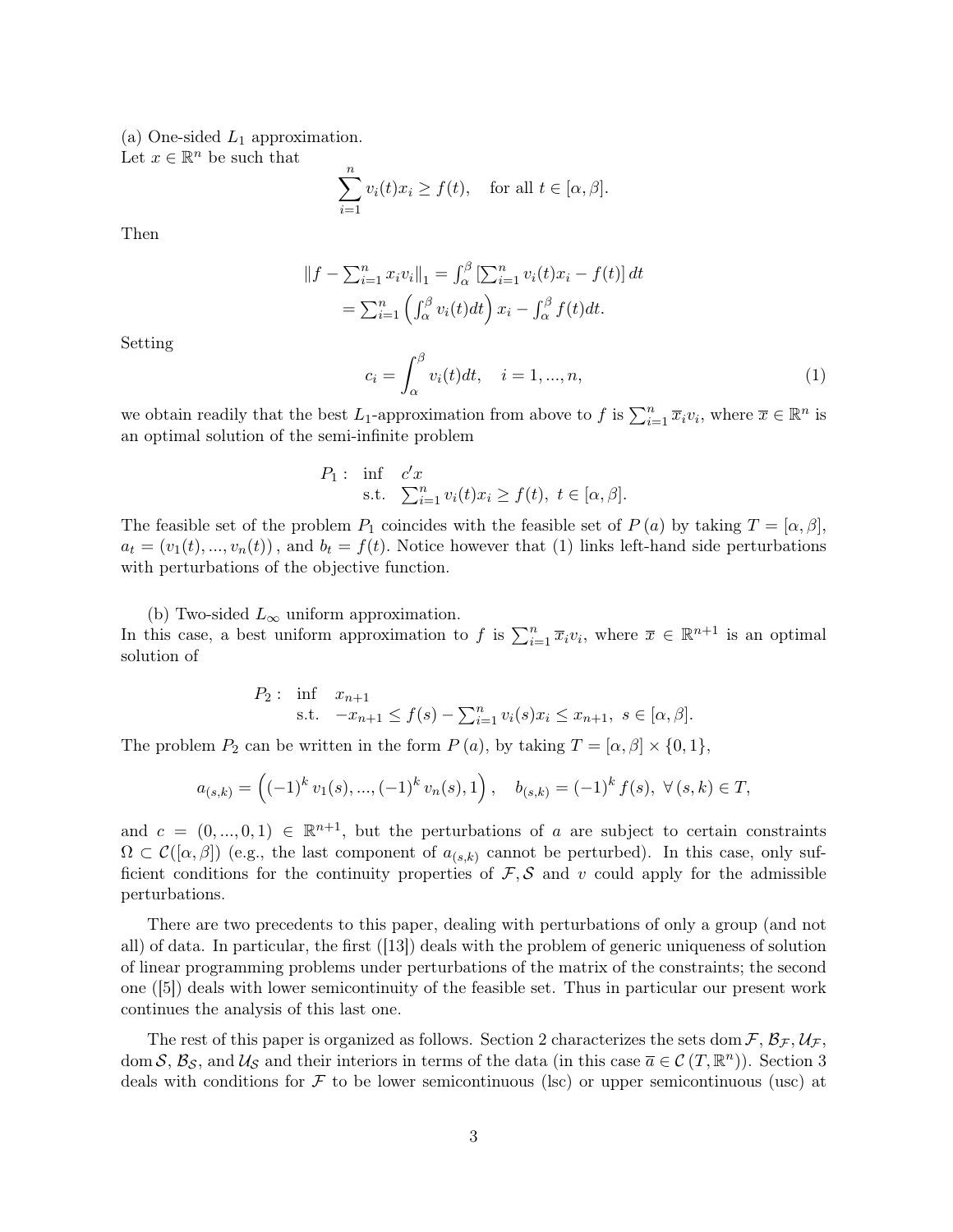(a) One-sided  $L_1$  approximation.

Let  $x \in \mathbb{R}^n$  be such that

$$
\sum_{i=1}^{n} v_i(t)x_i \ge f(t), \text{ for all } t \in [\alpha, \beta].
$$

Then

$$
||f - \sum_{i=1}^{n} x_i v_i||_1 = \int_{\alpha}^{\beta} \left[ \sum_{i=1}^{n} v_i(t) x_i - f(t) \right] dt
$$
  
=  $\sum_{i=1}^{n} \left( \int_{\alpha}^{\beta} v_i(t) dt \right) x_i - \int_{\alpha}^{\beta} f(t) dt.$ 

Setting

$$
c_i = \int_{\alpha}^{\beta} v_i(t)dt, \quad i = 1, ..., n,
$$
 (1)

we obtain readily that the best L<sub>1</sub>-approximation from above to f is  $\sum_{i=1}^{n} \overline{x}_i v_i$ , where  $\overline{x} \in \mathbb{R}^n$  is an optimal solution of the semi-infinite problem

$$
P_1: \text{ inf } c'x\text{s.t. } \sum_{i=1}^n v_i(t)x_i \ge f(t), \ t \in [\alpha, \beta].
$$

The feasible set of the problem  $P_1$  coincides with the feasible set of  $P(a)$  by taking  $T = [\alpha, \beta]$ ,  $a_t = (v_1(t), ..., v_n(t))$ , and  $b_t = f(t)$ . Notice however that (1) links left-hand side perturbations with perturbations of the objective function.

(b) Two-sided  $L_{\infty}$  uniform approximation. In this case, a best uniform approximation to f is  $\sum_{i=1}^n \overline{x}_i v_i$ , where  $\overline{x} \in \mathbb{R}^{n+1}$  is an optimal solution of

$$
P_2: \text{ inf } x_{n+1} \text{s.t. } -x_{n+1} \le f(s) - \sum_{i=1}^n v_i(s)x_i \le x_{n+1}, \ s \in [\alpha, \beta].
$$

The problem  $P_2$  can be written in the form  $P(a)$ , by taking  $T = [\alpha, \beta] \times \{0, 1\},$ 

$$
a_{(s,k)} = \left( (-1)^k v_1(s), \dots, (-1)^k v_n(s), 1 \right), \quad b_{(s,k)} = (-1)^k f(s), \ \forall (s,k) \in T,
$$

and  $c = (0, ..., 0, 1) \in \mathbb{R}^{n+1}$ , but the perturbations of a are subject to certain constraints  $\Omega \subset \mathcal{C}([\alpha, \beta])$  (e.g., the last component of  $a_{(s,k)}$  cannot be perturbed). In this case, only sufficient conditions for the continuity properties of  $\mathcal{F}, \mathcal{S}$  and v could apply for the admissible perturbations.

There are two precedents to this paper, dealing with perturbations of only a group (and not all) of data. In particular, the first ([13]) deals with the problem of generic uniqueness of solution of linear programming problems under perturbations of the matrix of the constraints; the second one ([5]) deals with lower semicontinuity of the feasible set. Thus in particular our present work continues the analysis of this last one.

The rest of this paper is organized as follows. Section 2 characterizes the sets dom  $\mathcal{F}, \mathcal{B}_{\mathcal{F}}, \mathcal{U}_{\mathcal{F}},$ dom S,  $\mathcal{B}_{\mathcal{S}}$ , and  $\mathcal{U}_{\mathcal{S}}$  and their interiors in terms of the data (in this case  $\overline{a} \in \mathcal{C}(T, \mathbb{R}^n)$ ). Section 3 deals with conditions for  $\mathcal F$  to be lower semicontinuous (lsc) or upper semicontinuous (usc) at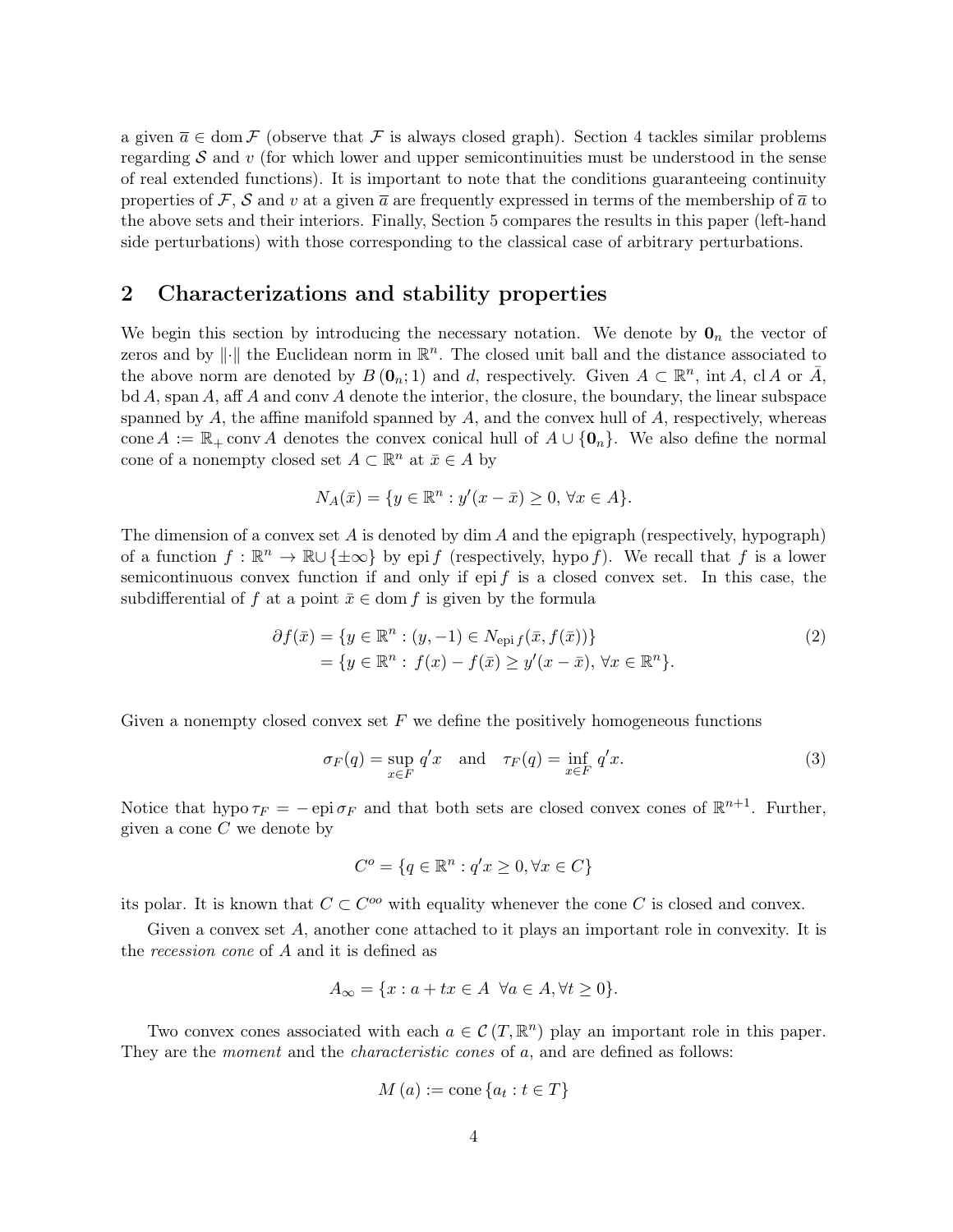a given  $\overline{a} \in \text{dom } \mathcal{F}$  (observe that  $\mathcal F$  is always closed graph). Section 4 tackles similar problems regarding  $S$  and v (for which lower and upper semicontinuities must be understood in the sense of real extended functions). It is important to note that the conditions guaranteeing continuity properties of F, S and v at a given  $\bar{a}$  are frequently expressed in terms of the membership of  $\bar{a}$  to the above sets and their interiors. Finally, Section 5 compares the results in this paper (left-hand side perturbations) with those corresponding to the classical case of arbitrary perturbations.

# 2 Characterizations and stability properties

We begin this section by introducing the necessary notation. We denote by  $\mathbf{0}_n$  the vector of zeros and by  $\|\cdot\|$  the Euclidean norm in  $\mathbb{R}^n$ . The closed unit ball and the distance associated to the above norm are denoted by  $B(\mathbf{0}_n;1)$  and d, respectively. Given  $A \subset \mathbb{R}^n$ , int A, cl A or  $\bar{A}$ ,  $\mathrm{bd}\,A$ , span A, aff A and conv A denote the interior, the closure, the boundary, the linear subspace spanned by  $A$ , the affine manifold spanned by  $A$ , and the convex hull of  $A$ , respectively, whereas cone A :=  $\mathbb{R}_+$  conv $\Lambda$  denotes the convex conical hull of  $A \cup \{0_n\}$ . We also define the normal cone of a nonempty closed set  $A \subset \mathbb{R}^n$  at  $\bar{x} \in A$  by

$$
N_A(\bar{x}) = \{ y \in \mathbb{R}^n : y'(x - \bar{x}) \ge 0, \forall x \in A \}.
$$

The dimension of a convex set  $A$  is denoted by dim  $A$  and the epigraph (respectively, hypograph) of a function  $f : \mathbb{R}^n \to \mathbb{R} \cup {\pm \infty}$  by epi f (respectively, hypo f). We recall that f is a lower semicontinuous convex function if and only if epi f is a closed convex set. In this case, the subdifferential of f at a point  $\bar{x} \in \text{dom } f$  is given by the formula

$$
\partial f(\bar{x}) = \{ y \in \mathbb{R}^n : (y, -1) \in N_{\text{epi}} f(\bar{x}, f(\bar{x})) \}
$$
  
= 
$$
\{ y \in \mathbb{R}^n : f(x) - f(\bar{x}) \ge y'(x - \bar{x}), \forall x \in \mathbb{R}^n \}.
$$
 (2)

Given a nonempty closed convex set  $F$  we define the positively homogeneous functions

$$
\sigma_F(q) = \sup_{x \in F} q'x \quad \text{and} \quad \tau_F(q) = \inf_{x \in F} q'x. \tag{3}
$$

Notice that hypo  $\tau_F = -e$  pi $\sigma_F$  and that both sets are closed convex cones of  $\mathbb{R}^{n+1}$ . Further, given a cone  $C$  we denote by

$$
C^o = \{ q \in \mathbb{R}^n : q'x \ge 0, \forall x \in C \}
$$

its polar. It is known that  $C \subset C^{oo}$  with equality whenever the cone C is closed and convex.

Given a convex set A, another cone attached to it plays an important role in convexity. It is the recession cone of A and it is defined as

$$
A_{\infty} = \{x : a + tx \in A \ \forall a \in A, \forall t \ge 0\}.
$$

Two convex cones associated with each  $a \in \mathcal{C}(T, \mathbb{R}^n)$  play an important role in this paper. They are the *moment* and the *characteristic cones* of a, and are defined as follows:

$$
M(a) := \text{cone}\{a_t : t \in T\}
$$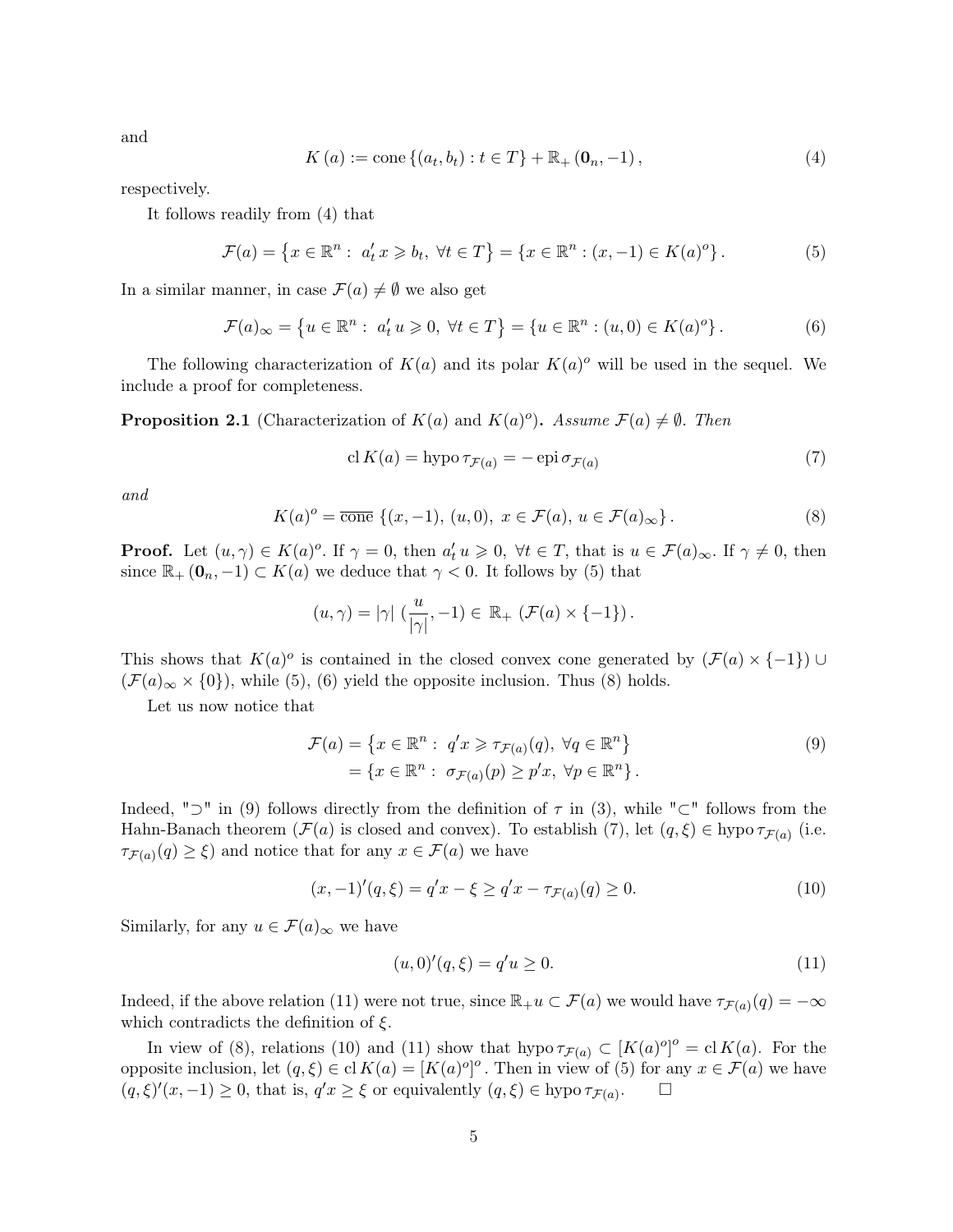and

$$
K(a) := \text{cone}\left\{(a_t, b_t) : t \in T\right\} + \mathbb{R}_+ \left(\mathbf{0}_n, -1\right),\tag{4}
$$

respectively.

It follows readily from (4) that

$$
\mathcal{F}(a) = \{x \in \mathbb{R}^n : a'_t x \geq b_t, \ \forall t \in T\} = \{x \in \mathbb{R}^n : (x, -1) \in K(a)^o\}.
$$
 (5)

In a similar manner, in case  $\mathcal{F}(a) \neq \emptyset$  we also get

$$
\mathcal{F}(a)_{\infty} = \{ u \in \mathbb{R}^n : a'_t u \geq 0, \forall t \in T \} = \{ u \in \mathbb{R}^n : (u, 0) \in K(a)^o \}.
$$
 (6)

The following characterization of  $K(a)$  and its polar  $K(a)$ <sup>o</sup> will be used in the sequel. We include a proof for completeness.

**Proposition 2.1** (Characterization of  $K(a)$  and  $K(a)$ <sup>o</sup>). Assume  $\mathcal{F}(a) \neq \emptyset$ . Then

$$
cl K(a) = hypo \tau_{\mathcal{F}(a)} = -epi \sigma_{\mathcal{F}(a)}
$$
\n<sup>(7)</sup>

and

$$
K(a)^{o} = \overline{\text{cone}} \{ (x, -1), (u, 0), \ x \in \mathcal{F}(a), \ u \in \mathcal{F}(a)_{\infty} \}.
$$
 (8)

**Proof.** Let  $(u, \gamma) \in K(a)^o$ . If  $\gamma = 0$ , then  $a_t' u \geq 0$ ,  $\forall t \in T$ , that is  $u \in \mathcal{F}(a)_{\infty}$ . If  $\gamma \neq 0$ , then since  $\mathbb{R}_+$  ( $\mathbf{0}_n$ ,  $-1$ )  $\subset K(a)$  we deduce that  $\gamma < 0$ . It follows by (5) that

$$
(u,\gamma)=|\gamma| \left(\frac{u}{|\gamma|},-1\right) \in \mathbb{R}_+ \left(\mathcal{F}(a) \times \{-1\}\right).
$$

This shows that  $K(a)^\circ$  is contained in the closed convex cone generated by  $(\mathcal{F}(a) \times \{-1\}) \cup$  $(\mathcal{F}(a)_{\infty} \times \{0\})$ , while (5), (6) yield the opposite inclusion. Thus (8) holds.

Let us now notice that

$$
\mathcal{F}(a) = \left\{ x \in \mathbb{R}^n : q'x \geq \tau_{\mathcal{F}(a)}(q), \forall q \in \mathbb{R}^n \right\}
$$
  
= 
$$
\left\{ x \in \mathbb{R}^n : \sigma_{\mathcal{F}(a)}(p) \geq p'x, \forall p \in \mathbb{R}^n \right\}.
$$
 (9)

Indeed, " $\supset$ " in (9) follows directly from the definition of  $\tau$  in (3), while " $\subset$ " follows from the Hahn-Banach theorem  $(\mathcal{F}(a)$  is closed and convex). To establish  $(7)$ , let  $(q,\xi) \in \text{hypo } \tau_{\mathcal{F}(a)}$  (i.e.  $\tau_{\mathcal{F}(a)}(q) \geq \xi$  and notice that for any  $x \in \mathcal{F}(a)$  we have

$$
(x, -1)'(q, \xi) = q'x - \xi \ge q'x - \tau_{\mathcal{F}(a)}(q) \ge 0.
$$
\n(10)

Similarly, for any  $u \in \mathcal{F}(a)_{\infty}$  we have

$$
(u,0)'(q,\xi) = q'u \ge 0.
$$
\n(11)

Indeed, if the above relation (11) were not true, since  $\mathbb{R}_+u\subset \mathcal{F}(a)$  we would have  $\tau_{\mathcal{F}(a)}(q)=-\infty$ which contradicts the definition of  $\xi$ .

In view of (8), relations (10) and (11) show that hypo  $\tau_{\mathcal{F}(a)} \subset [K(a)^o]^o = \text{cl } K(a)$ . For the opposite inclusion, let  $(q, \xi) \in \text{cl } K(a) = [K(a)^{o}]^o$ . Then in view of (5) for any  $x \in \mathcal{F}(a)$  we have  $(q,\xi)'(x,-1) \geq 0$ , that is,  $q'x \geq \xi$  or equivalently  $(q,\xi) \in$  hypo  $\tau_{\mathcal{F}(a)}$  $\Box$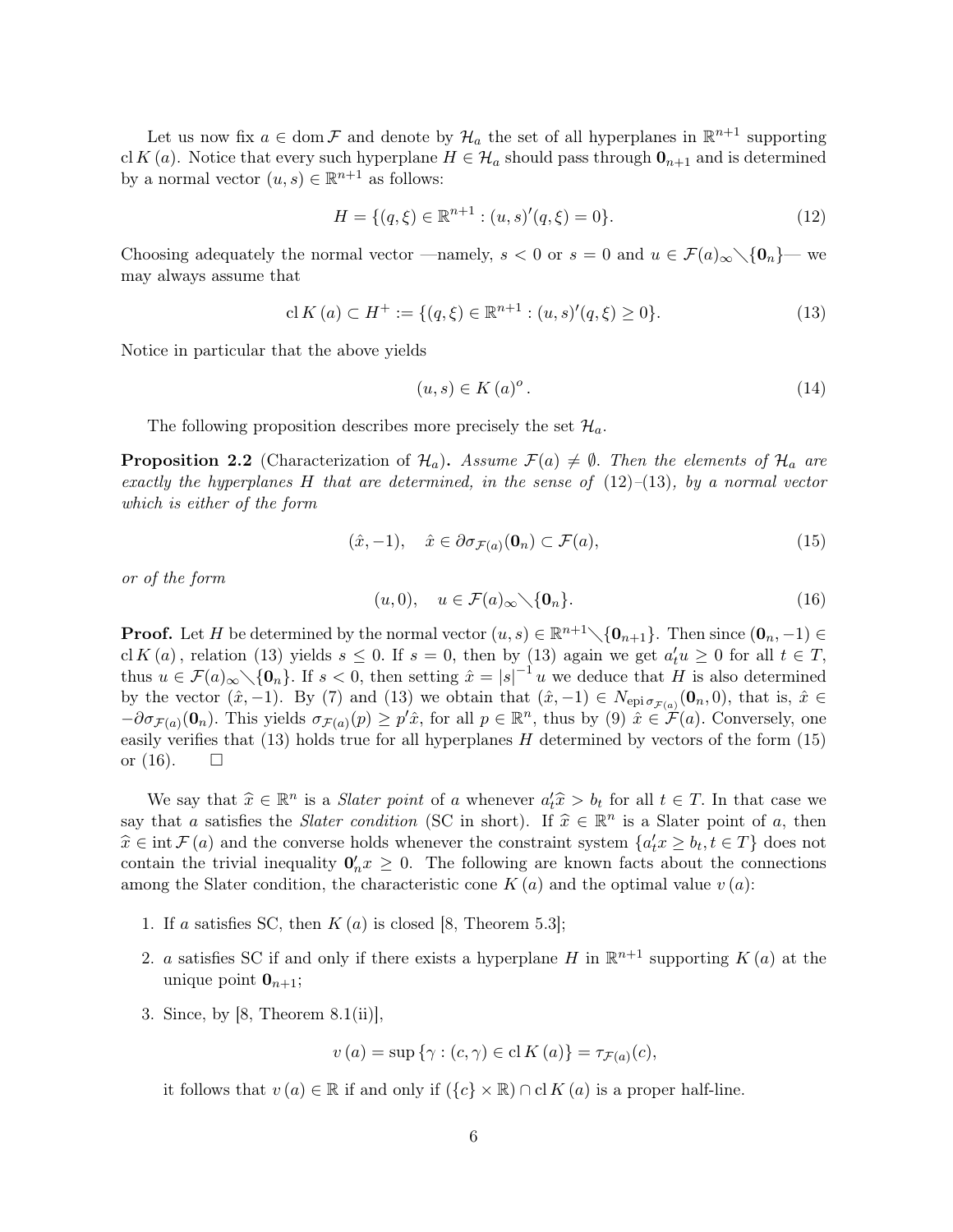Let us now fix  $a \in \text{dom } \mathcal{F}$  and denote by  $\mathcal{H}_a$  the set of all hyperplanes in  $\mathbb{R}^{n+1}$  supporting cl K (a). Notice that every such hyperplane  $H \in \mathcal{H}_a$  should pass through  $\mathbf{0}_{n+1}$  and is determined by a normal vector  $(u, s) \in \mathbb{R}^{n+1}$  as follows:

$$
H = \{ (q, \xi) \in \mathbb{R}^{n+1} : (u, s)'(q, \xi) = 0 \}.
$$
\n(12)

Choosing adequately the normal vector —namely,  $s < 0$  or  $s = 0$  and  $u \in \mathcal{F}(a)_{\infty} \setminus \{0_n\}$ — we may always assume that

$$
\text{cl}\,K\,(a) \subset H^+ := \{(q,\xi) \in \mathbb{R}^{n+1} : (u,s)'(q,\xi) \ge 0\}.\tag{13}
$$

Notice in particular that the above yields

$$
(u, s) \in K(a)^{o}.
$$
\n
$$
(14)
$$

The following proposition describes more precisely the set  $\mathcal{H}_a$ .

**Proposition 2.2** (Characterization of  $\mathcal{H}_a$ ). Assume  $\mathcal{F}(a) \neq \emptyset$ . Then the elements of  $\mathcal{H}_a$  are exactly the hyperplanes H that are determined, in the sense of  $(12)$ – $(13)$ , by a normal vector which is either of the form

$$
(\hat{x}, -1), \quad \hat{x} \in \partial \sigma_{\mathcal{F}(a)}(\mathbf{0}_n) \subset \mathcal{F}(a), \tag{15}
$$

or of the form

$$
(u,0), \quad u \in \mathcal{F}(a)_{\infty} \setminus \{\mathbf{0}_n\}.
$$
 (16)

**Proof.** Let H be determined by the normal vector  $(u, s) \in \mathbb{R}^{n+1} \setminus \{0_{n+1}\}.$  Then since  $(0_n, -1) \in$ cl K (a), relation (13) yields  $s \leq 0$ . If  $s = 0$ , then by (13) again we get  $a_t'u \geq 0$  for all  $t \in T$ , thus  $u \in \mathcal{F}(a)_{\infty} \setminus \{0_n\}$ . If  $s < 0$ , then setting  $\hat{x} = |s|^{-1}u$  we deduce that H is also determined by the vector  $(\hat{x}, -1)$ . By (7) and (13) we obtain that  $(\hat{x}, -1) \in N_{\text{epi }\sigma_{\mathcal{F}(a)}}(\mathbf{0}_n, 0)$ , that is,  $\hat{x} \in$  $-\partial\sigma_{\mathcal{F}(a)}(\mathbf{0}_n)$ . This yields  $\sigma_{\mathcal{F}(a)}(p) \geq p' \hat{x}$ , for all  $p \in \mathbb{R}^n$ , thus by (9)  $\hat{x} \in \mathcal{F}(a)$ . Conversely, one easily verifies that  $(13)$  holds true for all hyperplanes H determined by vectors of the form  $(15)$ or  $(16)$ .  $\Box$ 

We say that  $\hat{x} \in \mathbb{R}^n$  is a *Slater point* of a whenever  $a'_t \hat{x} > b_t$  for all  $t \in T$ . In that case we that a satisfies the *Slater condition* (SC in short). If  $\hat{x} \in \mathbb{R}^n$  is a Slater point of a then say that a satisfies the *Slater condition* (SC in short). If  $\hat{x} \in \mathbb{R}^n$  is a Slater point of a, then  $\hat{x} \in \text{int } \mathcal{F}(a)$  and the converse holds whenever the constraint system  $\{a'x > b, t \in T\}$  does not  $\hat{x} \in \text{int } \mathcal{F}(a)$  and the converse holds whenever the constraint system  ${a'_t x \ge b_t, t \in T}$  does not contain the trivial inequality  $\mathbf{0}'_n x \geq 0$ . The following are known facts about the connections among the Slater condition, the characteristic cone  $K(a)$  and the optimal value  $v(a)$ :

- 1. If a satisfies SC, then  $K(a)$  is closed [8, Theorem 5.3];
- 2. a satisfies SC if and only if there exists a hyperplane H in  $\mathbb{R}^{n+1}$  supporting  $K(a)$  at the unique point  $\mathbf{0}_{n+1}$ ;
- 3. Since, by  $[8,$  Theorem  $8.1(ii)$ ,

$$
v(a) = \sup \{ \gamma : (c, \gamma) \in \mathrm{cl} K(a) \} = \tau_{\mathcal{F}(a)}(c),
$$

it follows that  $v(a) \in \mathbb{R}$  if and only if  $({c} \times \mathbb{R}) \cap$  cl  $K(a)$  is a proper half-line.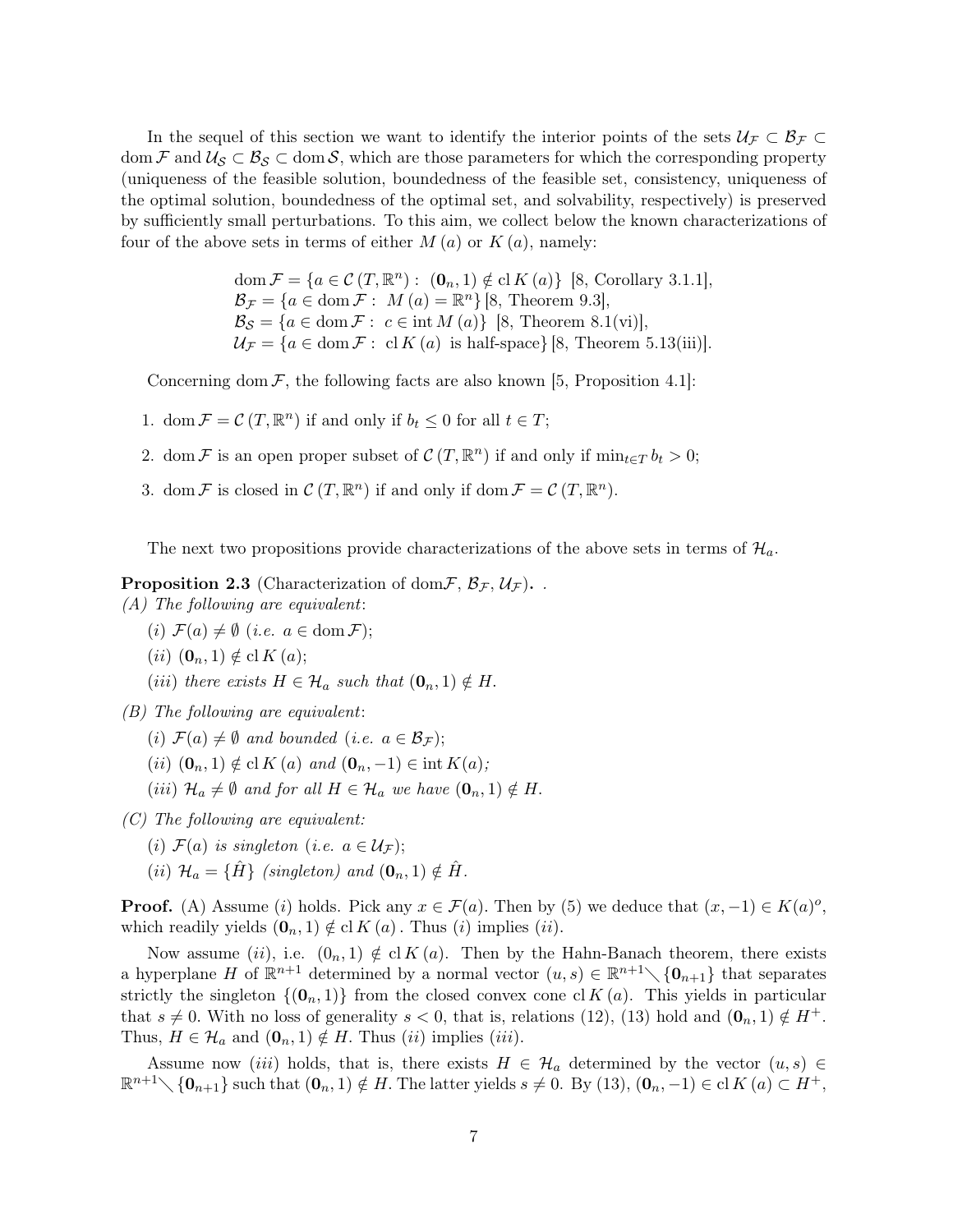In the sequel of this section we want to identify the interior points of the sets  $U_f \subset \mathcal{B}_f \subset$ dom F and  $\mathcal{U}_{\mathcal{S}} \subset \mathcal{B}_{\mathcal{S}} \subset \text{dom } \mathcal{S}$ , which are those parameters for which the corresponding property (uniqueness of the feasible solution, boundedness of the feasible set, consistency, uniqueness of the optimal solution, boundedness of the optimal set, and solvability, respectively) is preserved by sufficiently small perturbations. To this aim, we collect below the known characterizations of four of the above sets in terms of either  $M(a)$  or  $K(a)$ , namely:

> dom  $\mathcal{F} = \{a \in \mathcal{C} (T, \mathbb{R}^n) : (0_n, 1) \notin \mathrm{cl} K (a) \}$  [8, Corollary 3.1.1],  $\mathcal{B}_{\mathcal{F}} = \{a \in \text{dom}\,\mathcal{F}: \ M\left(a\right) = \mathbb{R}^n\}$  [8, Theorem 9.3],  $\mathcal{B}_{\mathcal{S}} = \{a \in \text{dom}\,\mathcal{F}: c \in \text{int}\,M(a)\}\;[8, \text{Theorem}\;8.1(\text{vi})],$  $\mathcal{U}_{\mathcal{F}} = \{a \in \text{dom}\,\mathcal{F}: \text{ cl }K(a) \text{ is half-space}\}\$ [8, Theorem 5.13(iii)].

Concerning dom  $\mathcal{F}$ , the following facts are also known [5, Proposition 4.1]:

- 1. dom  $\mathcal{F} = \mathcal{C}(T, \mathbb{R}^n)$  if and only if  $b_t \leq 0$  for all  $t \in T$ ;
- 2. dom F is an open proper subset of  $\mathcal{C}(T, \mathbb{R}^n)$  if and only if  $\min_{t \in T} b_t > 0$ ;
- 3. dom  $\mathcal F$  is closed in  $\mathcal C(T,\mathbb R^n)$  if and only if dom  $\mathcal F = \mathcal C(T,\mathbb R^n)$ .

The next two propositions provide characterizations of the above sets in terms of  $\mathcal{H}_a$ .

**Proposition 2.3** (Characterization of dom  $\mathcal{F}, \mathcal{B}_{\mathcal{F}}, \mathcal{U}_{\mathcal{F}}$ ).

(A) The following are equivalent:

- (i)  $\mathcal{F}(a) \neq \emptyset$  (i.e.  $a \in \text{dom }\mathcal{F}$ );
- $(ii)$   $(\mathbf{0}_n, 1) \notin \mathrm{cl} K(a);$
- (iii) there exists  $H \in \mathcal{H}_a$  such that  $(\mathbf{0}_n, 1) \notin H$ .

(B) The following are equivalent:

- (i)  $\mathcal{F}(a) \neq \emptyset$  and bounded (i.e.  $a \in \mathcal{B}_{\mathcal{F}}$ );
- (ii)  $(\mathbf{0}_n, 1) \notin \mathrm{cl} K(a)$  and  $(\mathbf{0}_n, -1) \in \mathrm{int} K(a);$
- (iii)  $\mathcal{H}_a \neq \emptyset$  and for all  $H \in \mathcal{H}_a$  we have  $(\mathbf{0}_n, 1) \notin H$ .

(C) The following are equivalent:

- (i)  $\mathcal{F}(a)$  is singleton (i.e.  $a \in \mathcal{U}_{\mathcal{F}}$ );
- (ii)  $\mathcal{H}_a = {\hat{H}}$  (singleton) and  $(\mathbf{0}_n, 1) \notin \hat{H}$ .

**Proof.** (A) Assume (i) holds. Pick any  $x \in \mathcal{F}(a)$ . Then by (5) we deduce that  $(x, -1) \in K(a)^o$ , which readily yields  $(\mathbf{0}_n, 1) \notin \mathrm{cl} K(a)$ . Thus  $(i)$  implies  $(ii)$ .

Now assume (ii), i.e.  $(0_n, 1) \notin \text{cl } K(a)$ . Then by the Hahn-Banach theorem, there exists a hyperplane H of  $\mathbb{R}^{n+1}$  determined by a normal vector  $(u, s) \in \mathbb{R}^{n+1} \setminus \{0_{n+1}\}\$  that separates strictly the singleton  $\{(\mathbf{0}_n, 1)\}\)$  from the closed convex cone cl  $K(a)$ . This yields in particular that  $s \neq 0$ . With no loss of generality  $s < 0$ , that is, relations (12), (13) hold and  $(0_n, 1) \notin H^+$ . Thus,  $H \in \mathcal{H}_a$  and  $(\mathbf{0}_n, 1) \notin H$ . Thus  $(ii)$  implies  $(iii)$ .

Assume now *(iii)* holds, that is, there exists  $H \in \mathcal{H}_a$  determined by the vector  $(u, s) \in$  $\mathbb{R}^{n+1}\setminus\{\mathbf{0}_{n+1}\}\$  such that  $(\mathbf{0}_n,1)\notin H$ . The latter yields  $s\neq 0$ . By  $(13)$ ,  $(\mathbf{0}_n,-1)\in\text{cl }K(a)\subset H^+$ ,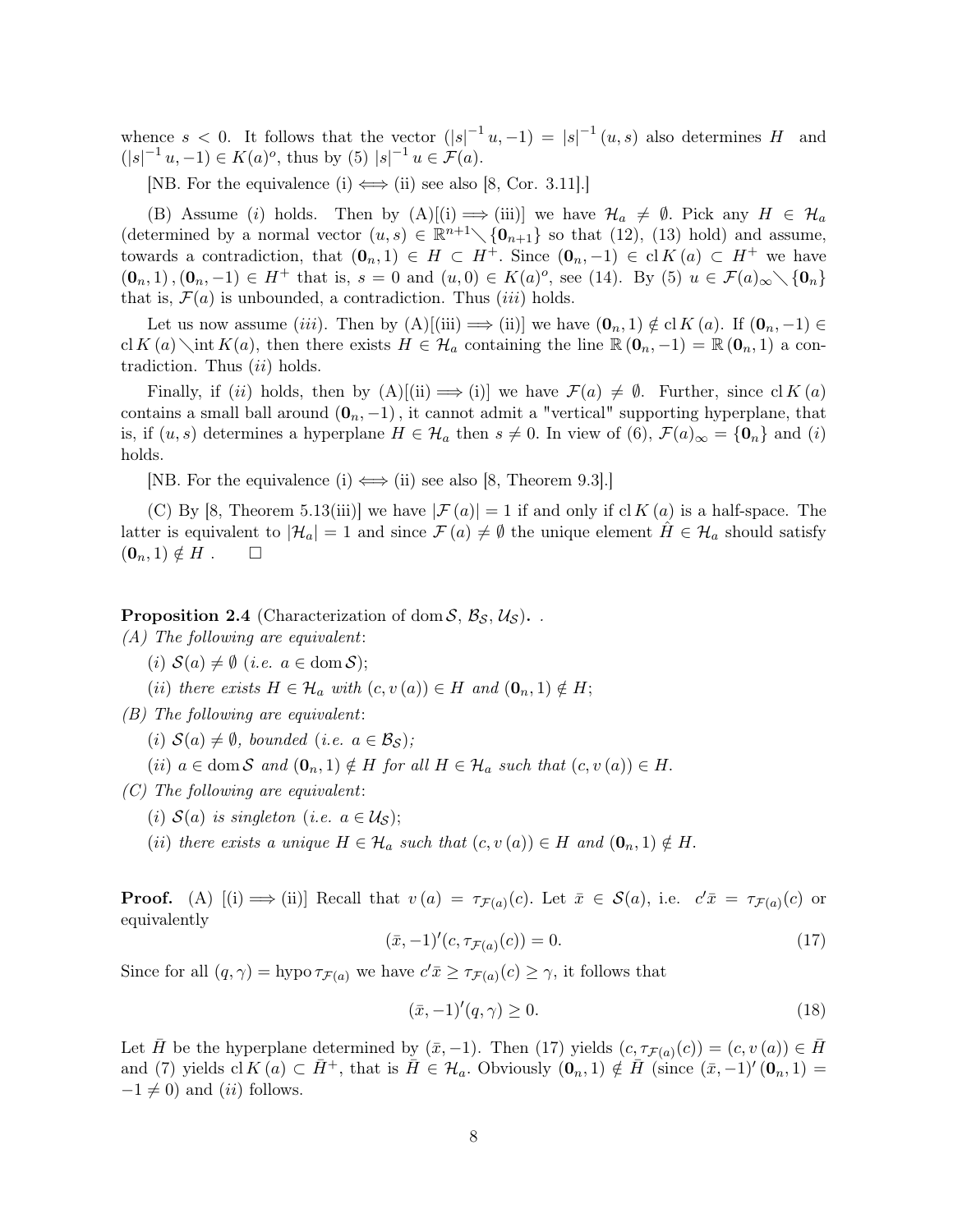whence  $s < 0$ . It follows that the vector  $(|s|^{-1}u, -1) = |s|^{-1}(u, s)$  also determines H and  $(|s|^{-1}u, -1) \in K(a)^o$ , thus by (5)  $|s|^{-1}u \in \mathcal{F}(a)$ .

[NB. For the equivalence (i)  $\Longleftrightarrow$  (ii) see also [8, Cor. 3.11].]

(B) Assume (i) holds. Then by  $(A)[(i) \implies (iii)]$  we have  $\mathcal{H}_a \neq \emptyset$ . Pick any  $H \in \mathcal{H}_a$ (determined by a normal vector  $(u, s) \in \mathbb{R}^{n+1} \setminus \{0_{n+1}\}\$  so that (12), (13) hold) and assume, towards a contradiction, that  $(0_n, 1) \in H \subset H^+$ . Since  $(0_n, -1) \in \text{cl } K(a) \subset H^+$  we have  $(\mathbf{0}_n, 1), (\mathbf{0}_n, -1) \in H^+$  that is,  $s = 0$  and  $(u, 0) \in K(a)^o$ , see (14). By (5)  $u \in \mathcal{F}(a)_{\infty} \setminus {\mathbf{0}_n}$ that is,  $\mathcal{F}(a)$  is unbounded, a contradiction. Thus *(iii)* holds.

Let us now assume (iii). Then by  $(A)$ [(iii)  $\implies$  (ii)] we have  $(0_n, 1) \notin \text{cl } K(a)$ . If  $(0_n, -1) \in$ cl K (a) int K(a), then there exists  $H \in \mathcal{H}_a$  containing the line  $\mathbb{R} (0_n, -1) = \mathbb{R} (0_n, 1)$  a contradiction. Thus  $(ii)$  holds.

Finally, if (ii) holds, then by  $(A)[(ii) \implies (i)]$  we have  $\mathcal{F}(a) \neq \emptyset$ . Further, since  $\text{cl } K(a)$ contains a small ball around  $(0_n, -1)$ , it cannot admit a "vertical" supporting hyperplane, that is, if  $(u, s)$  determines a hyperplane  $H \in \mathcal{H}_a$  then  $s \neq 0$ . In view of  $(6)$ ,  $\mathcal{F}(a)_{\infty} = {\mathbf{0}_n}$  and  $(i)$ holds.

[NB. For the equivalence (i)  $\Longleftrightarrow$  (ii) see also [8, Theorem 9.3].]

(C) By [8, Theorem 5.13(iii)] we have  $|\mathcal{F}(a)| = 1$  if and only if cl K  $(a)$  is a half-space. The latter is equivalent to  $|\mathcal{H}_a| = 1$  and since  $\mathcal{F}(a) \neq \emptyset$  the unique element  $H \in \mathcal{H}_a$  should satisfy  $(\mathbf{0}_n, 1) \notin H$ .  $\Box$ 

**Proposition 2.4** (Characterization of dom  $S$ ,  $\mathcal{B}_S$ ,  $\mathcal{U}_S$ ).

(A) The following are equivalent:

- (i)  $S(a) \neq \emptyset$  (i.e.  $a \in \text{dom } S$ );
- (ii) there exists  $H \in \mathcal{H}_a$  with  $(c, v(a)) \in H$  and  $(\mathbf{0}_n, 1) \notin H$ ;

(B) The following are equivalent:

(i)  $\mathcal{S}(a) \neq \emptyset$ , bounded (i.e.  $a \in \mathcal{B}_{\mathcal{S}}$ );

(ii)  $a \in \text{dom } S$  and  $(\mathbf{0}_n, 1) \notin H$  for all  $H \in \mathcal{H}_a$  such that  $(c, v(a)) \in H$ .

 $(C)$  The following are equivalent:

(i)  $S(a)$  is singleton (i.e.  $a \in U_S$ );

(ii) there exists a unique  $H \in \mathcal{H}_a$  such that  $(c, v(a)) \in H$  and  $(\mathbf{0}_n, 1) \notin H$ .

**Proof.** (A)  $[(i) \implies (ii)]$  Recall that  $v(a) = \tau_{\mathcal{F}(a)}(c)$ . Let  $\bar{x} \in \mathcal{S}(a)$ , i.e.  $c'\bar{x} = \tau_{\mathcal{F}(a)}(c)$  or equivalently

$$
(\bar{x}, -1)'(c, \tau_{\mathcal{F}(a)}(c)) = 0.
$$
\n(17)

Since for all  $(q, \gamma) = \text{hypo}\,\tau_{\mathcal{F}(a)}$  we have  $c'\bar{x} \geq \tau_{\mathcal{F}(a)}(c) \geq \gamma$ , it follows that

$$
(\bar{x}, -1)'(q, \gamma) \ge 0. \tag{18}
$$

Let  $\bar{H}$  be the hyperplane determined by  $(\bar{x}, -1)$ . Then (17) yields  $(c, \tau_{\mathcal{F}(a)}(c)) = (c, v(a)) \in \bar{H}$ and (7) yields cl  $K(a) \subset \overline{H}^+$ , that is  $\overline{H} \in \mathcal{H}_a$ . Obviously  $(\mathbf{0}_n, 1) \notin \overline{H}$  (since  $(\overline{x}, -1)'(\mathbf{0}_n, 1) =$  $-1 \neq 0$ ) and (ii) follows.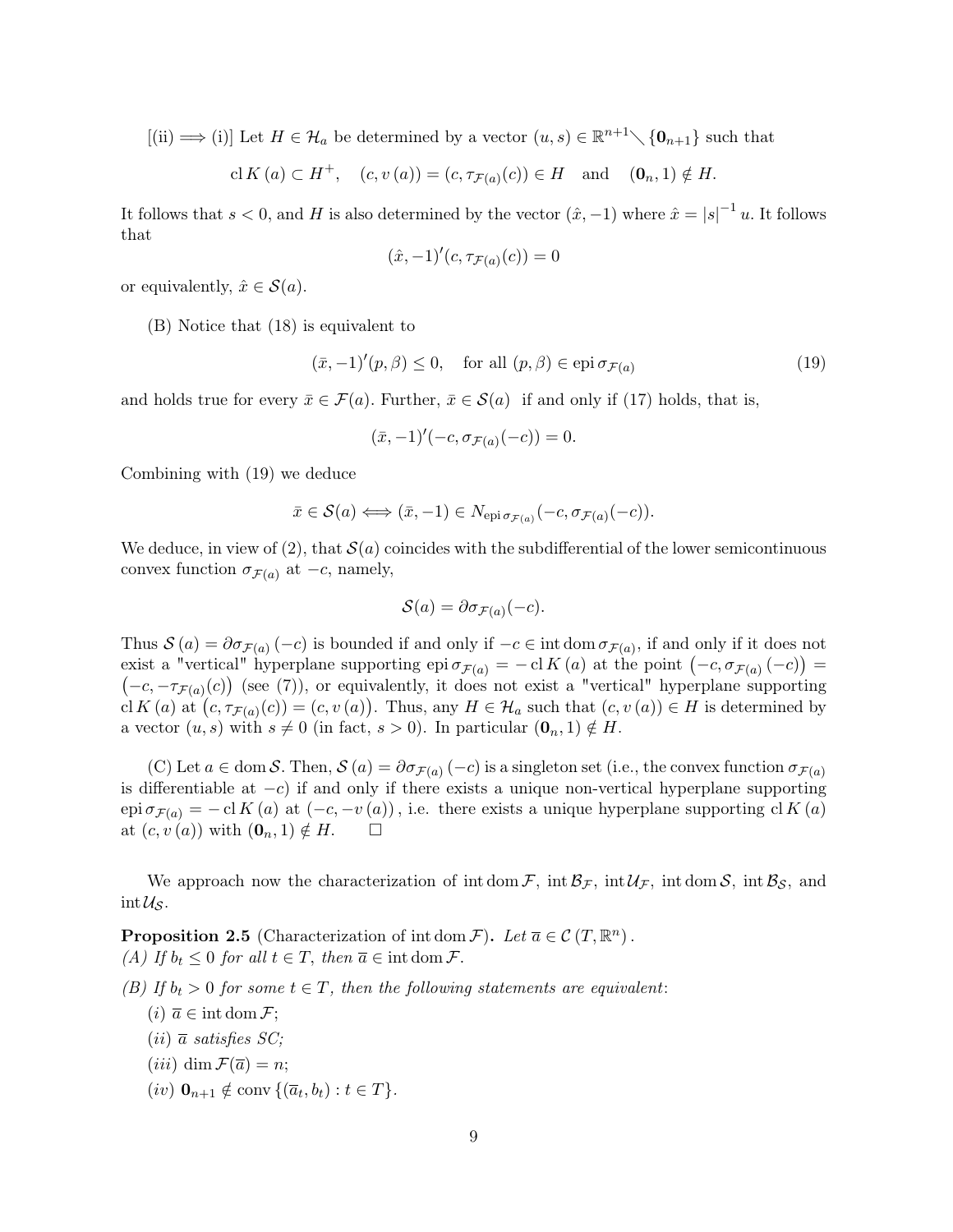$[(ii) \longrightarrow (i)]$  Let  $H \in \mathcal{H}_a$  be determined by a vector  $(u, s) \in \mathbb{R}^{n+1} \setminus \{0_{n+1}\}$  such that

$$
\mathrm{cl}\, K\left(a\right)\subset H^{+},\quad \left(c,v\left(a\right)\right)=\left(c,\tau_{\mathcal{F}\left(a\right)}(c)\right)\in H\quad \text{and}\quad \left(\mathbf{0}_{n},1\right)\notin H.
$$

It follows that  $s < 0$ , and H is also determined by the vector  $(\hat{x}, -1)$  where  $\hat{x} = |s|^{-1} u$ . It follows that

$$
(\hat{x}, -1)'(c, \tau_{\mathcal{F}(a)}(c)) = 0
$$

or equivalently,  $\hat{x} \in \mathcal{S}(a)$ .

(B) Notice that (18) is equivalent to

$$
(\bar{x}, -1)'(p, \beta) \le 0, \quad \text{for all } (p, \beta) \in \text{epi } \sigma_{\mathcal{F}(a)} \tag{19}
$$

and holds true for every  $\bar{x} \in \mathcal{F}(a)$ . Further,  $\bar{x} \in \mathcal{S}(a)$  if and only if (17) holds, that is,

$$
(\bar{x},-1)'(-c,\sigma_{\mathcal{F}(a)}(-c))=0.
$$

Combining with (19) we deduce

$$
\bar{x} \in \mathcal{S}(a) \Longleftrightarrow (\bar{x}, -1) \in N_{\text{epi}\sigma_{\mathcal{F}(a)}}(-c, \sigma_{\mathcal{F}(a)}(-c)).
$$

We deduce, in view of (2), that  $\mathcal{S}(a)$  coincides with the subdifferential of the lower semicontinuous convex function  $\sigma_{\mathcal{F}(a)}$  at  $-c$ , namely,

$$
\mathcal{S}(a) = \partial \sigma_{\mathcal{F}(a)}(-c).
$$

Thus  $S(a) = \partial \sigma_{\mathcal{F}(a)}(-c)$  is bounded if and only if  $-c \in \text{int dom }\sigma_{\mathcal{F}(a)}$ , if and only if it does not exist a "vertical" hyperplane supporting epi  $\sigma_{\mathcal{F}(a)} = -\mathrm{cl} K(a)$  at the point  $(-c, \sigma_{\mathcal{F}(a)}(-c)) =$  $(-c, -\tau_{\mathcal{F}(a)}(c))$  (see (7)), or equivalently, it does not exist a "vertical" hyperplane supporting cl K (a) at  $(c, \tau_{\mathcal{F}(a)}(c)) = (c, v(a))$ . Thus, any  $H \in \mathcal{H}_a$  such that  $(c, v(a)) \in H$  is determined by a vector  $(u, s)$  with  $s \neq 0$  (in fact,  $s > 0$ ). In particular  $(\mathbf{0}_n, 1) \notin H$ .

(C) Let  $a \in \text{dom } S$ . Then,  $S(a) = \partial \sigma_{\mathcal{F}(a)}(-c)$  is a singleton set (i.e., the convex function  $\sigma_{\mathcal{F}(a)}$ is differentiable at  $-c$ ) if and only if there exists a unique non-vertical hyperplane supporting epi  $\sigma_{\mathcal{F}(a)} = -\mathrm{cl} K(a)$  at  $(-c, -v(a))$ , i.e. there exists a unique hyperplane supporting cl K  $(a)$ at  $(c, v(a))$  with  $(\mathbf{0}_n, 1) \notin H$ .  $\Box$ 

We approach now the characterization of int dom  $\mathcal{F}$ , int  $\mathcal{B}_{\mathcal{F}}$ , int dom  $\mathcal{S}$ , int  $\mathcal{B}_{\mathcal{S}}$ , and  $\mathrm{int}\,\mathcal{U}_\mathcal{S}.$ 

**Proposition 2.5** (Characterization of int dom  $\mathcal{F}$ ). Let  $\overline{a} \in \mathcal{C}(T, \mathbb{R}^n)$ . (A) If  $b_t \leq 0$  for all  $t \in T$ , then  $\overline{a} \in \text{int dom }\mathcal{F}$ .

(B) If  $b_t > 0$  for some  $t \in T$ , then the following statements are equivalent:

- $(i)$   $\overline{a} \in \text{int dom } \mathcal{F}$ ;
- $(ii)$   $\overline{a}$  satisfies SC;
- $(iii)$  dim  $\mathcal{F}(\overline{a}) = n$ ;
- $(iv)$   $\mathbf{0}_{n+1} \notin \text{conv} \{(\overline{a}_t, b_t) : t \in T\}.$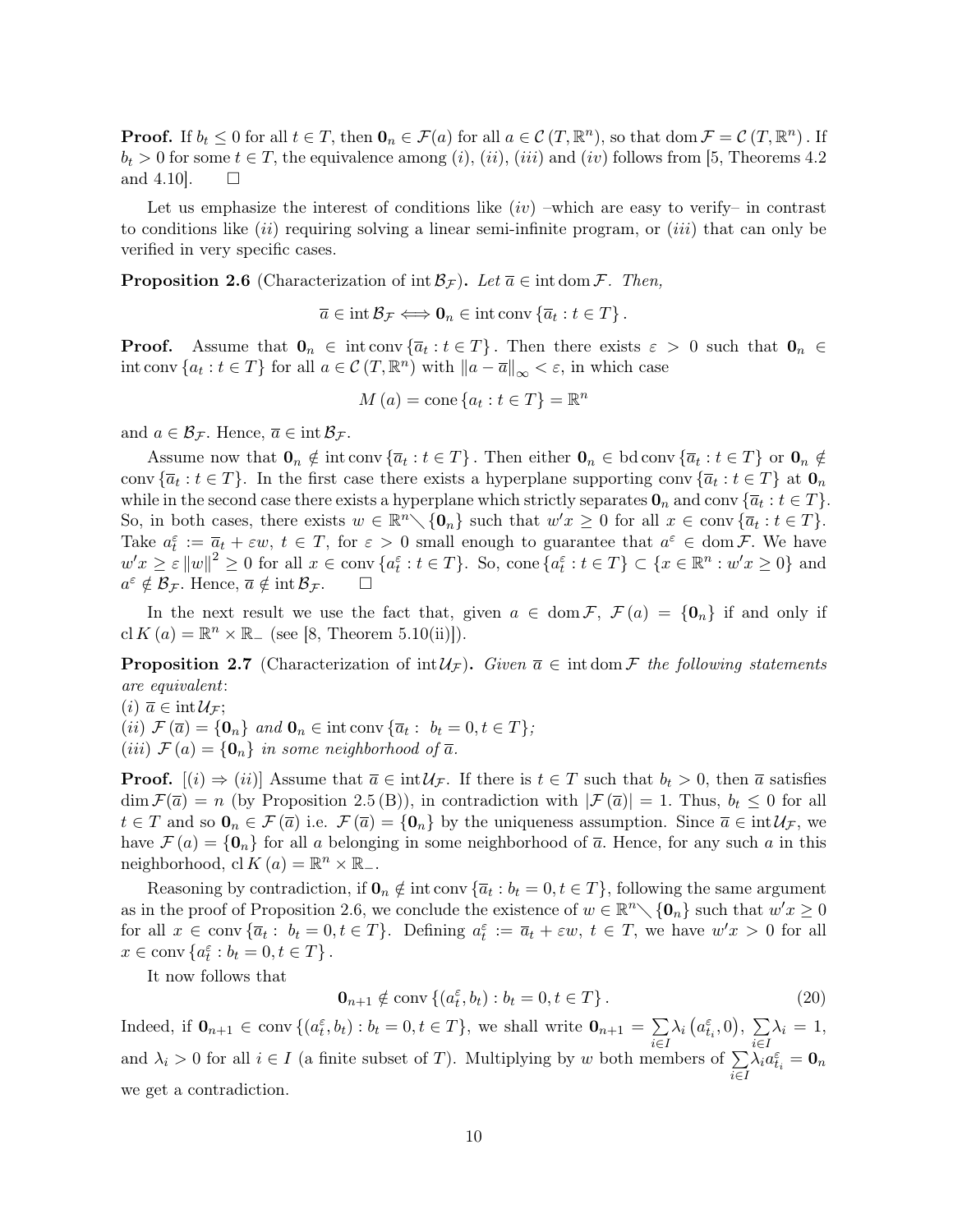**Proof.** If  $b_t \leq 0$  for all  $t \in T$ , then  $\mathbf{0}_n \in \mathcal{F}(a)$  for all  $a \in \mathcal{C}(T, \mathbb{R}^n)$ , so that  $\text{dom } \mathcal{F} = \mathcal{C}(T, \mathbb{R}^n)$ . If  $b_t > 0$  for some  $t \in T$ , the equivalence among  $(i)$ ,  $(ii)$ ,  $(iii)$  and  $(iv)$  follows from [5, Theorems 4.2] and 4.10.  $\Box$ 

Let us emphasize the interest of conditions like  $(iv)$  –which are easy to verify– in contrast to conditions like  $(ii)$  requiring solving a linear semi-infinite program, or  $(iii)$  that can only be verified in very specific cases.

**Proposition 2.6** (Characterization of int  $\mathcal{B}_{\mathcal{F}}$ ). Let  $\overline{a} \in \text{int dom }\mathcal{F}$ . Then,

 $\overline{a} \in \text{int} \mathcal{B}_{\mathcal{F}} \Longleftrightarrow \mathbf{0}_{n} \in \text{int} \text{conv } \{\overline{a}_{t} : t \in T\}.$ 

**Proof.** Assume that  $\mathbf{0}_n \in \text{int} \text{conv } \{\overline{a}_t : t \in T\}$ . Then there exists  $\varepsilon > 0$  such that  $\mathbf{0}_n \in$ int conv  $\{a_t : t \in T\}$  for all  $a \in \mathcal{C}(T, \mathbb{R}^n)$  with  $\|a - \overline{a}\|_{\infty} < \varepsilon$ , in which case

$$
M\left(a\right) = \text{cone}\left\{a_t : t \in T\right\} = \mathbb{R}^n
$$

and  $a \in \mathcal{B}_{\mathcal{F}}$ . Hence,  $\overline{a} \in \text{int } \mathcal{B}_{\mathcal{F}}$ .

Assume now that  $\mathbf{0}_n \notin \text{int conv }\{\overline{a}_t : t \in T\}$ . Then either  $\mathbf{0}_n \in \text{bd conv }\{\overline{a}_t : t \in T\}$  or  $\mathbf{0}_n \notin$ conv  $\{\overline{a}_t : t \in T\}$ . In the first case there exists a hyperplane supporting conv  $\{\overline{a}_t : t \in T\}$  at  $\mathbf{0}_n$ while in the second case there exists a hyperplane which strictly separates  $\mathbf{0}_n$  and conv  $\{\overline{a}_t : t \in T\}$ . So, in both cases, there exists  $w \in \mathbb{R}^n \setminus \{\mathbf{0}_n\}$  such that  $w'x \geq 0$  for all  $x \in \text{conv}\{\overline{a}_t : t \in T\}$ . Take  $a_t^{\varepsilon} := \overline{a}_t + \varepsilon w$ ,  $t \in T$ , for  $\varepsilon > 0$  small enough to guarantee that  $a^{\varepsilon} \in \text{dom } \mathcal{F}$ . We have  $w'x \geq \varepsilon ||w||^2 \geq 0$  for all  $x \in \text{conv } \{a_t^{\varepsilon} : t \in T\}$ . So, cone  $\{a_t^{\varepsilon} : t \in T\} \subset \{x \in \mathbb{R}^n : w'x \geq 0\}$  and  $a^{\varepsilon} \notin \mathcal{B}_{\mathcal{F}}$ . Hence,  $\overline{a} \notin \text{int} \mathcal{B}_{\mathcal{F}}$ .  $\Box$ 

In the next result we use the fact that, given  $a \in \text{dom } \mathcal{F}, \mathcal{F}(a) = \{0_n\}$  if and only if cl  $K(a) = \mathbb{R}^n \times \mathbb{R}$  (see [8, Theorem 5.10(ii)]).

**Proposition 2.7** (Characterization of  $int \mathcal{U}_F$ ). Given  $\bar{a} \in \text{int dom }\mathcal{F}$  the following statements are equivalent:

 $(i)$   $\overline{a} \in \text{int}\mathcal{U}_{\mathcal{F}}$ ;

(ii)  $\mathcal{F}(\overline{a}) = \{\mathbf{0}_n\}$  and  $\mathbf{0}_n \in \text{int} \text{conv } \{\overline{a}_t : b_t = 0, t \in T\};$ 

(iii)  $\mathcal{F}(a) = \{0_n\}$  in some neighborhood of  $\overline{a}$ .

**Proof.**  $[(i) \Rightarrow (ii)]$  Assume that  $\overline{a} \in \text{int } \mathcal{U}_{\mathcal{F}}$ . If there is  $t \in T$  such that  $b_t > 0$ , then  $\overline{a}$  satisfies  $\dim \mathcal{F}(\overline{a}) = n$  (by Proposition 2.5 (B)), in contradiction with  $|\mathcal{F}(\overline{a})| = 1$ . Thus,  $b_t \leq 0$  for all  $t \in T$  and so  $\mathbf{0}_n \in \mathcal{F}(\overline{a})$  i.e.  $\mathcal{F}(\overline{a}) = {\mathbf{0}_n}$  by the uniqueness assumption. Since  $\overline{a} \in \text{int} \mathcal{U}_{\mathcal{F}}$ , we have  $\mathcal{F}(a) = \{0_n\}$  for all a belonging in some neighborhood of  $\overline{a}$ . Hence, for any such a in this neighborhood, cl  $K(a) = \mathbb{R}^n \times \mathbb{R}_-$ .

Reasoning by contradiction, if  $\mathbf{0}_n \notin \text{int} \text{ conv } {\overline{a}_t : b_t = 0, t \in T}$ , following the same argument as in the proof of Proposition 2.6, we conclude the existence of  $w \in \mathbb{R}^n \setminus \{0_n\}$  such that  $w'x \geq 0$ for all  $x \in \text{conv} \{\overline{a}_t : b_t = 0, t \in T\}$ . Defining  $a_t^{\varepsilon} := \overline{a}_t + \varepsilon w$ ,  $t \in T$ , we have  $w'x > 0$  for all  $x \in \text{conv} \{a_t^{\varepsilon} : b_t = 0, t \in T\}.$ 

It now follows that

$$
\mathbf{0}_{n+1} \notin \text{conv}\left\{ (a_t^{\varepsilon}, b_t) : b_t = 0, t \in T \right\}.
$$
\n
$$
(20)
$$

Indeed, if  $\mathbf{0}_{n+1} \in \text{conv } \{ (a_t^{\varepsilon}, b_t) : b_t = 0, t \in T \}$ , we shall write  $\mathbf{0}_{n+1} = \sum$ i∈I  $\lambda_i\left(a_{t_i}^{\varepsilon},0\right),\ \sum_{i=1}^{\infty}$ i∈I  $\lambda_i = 1$ , and  $\lambda_i > 0$  for all  $i \in I$  (a finite subset of T). Multiplying by w both members of  $\sum$ i∈I  $\lambda_i a^\varepsilon_{t_i} = \mathbf{0}_n$ we get a contradiction.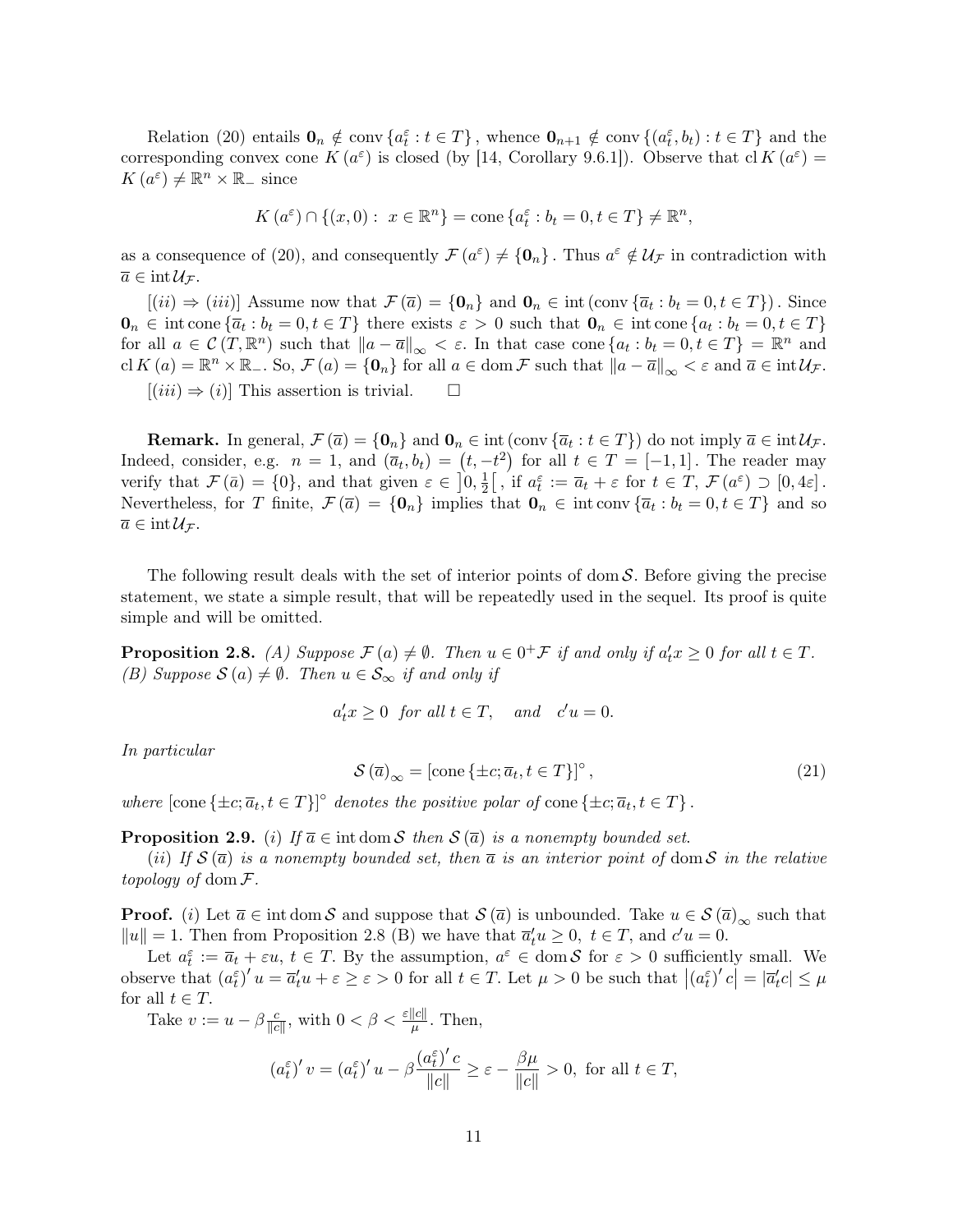Relation (20) entails  $\mathbf{0}_n \notin \text{conv}\left\{a_t^{\varepsilon}: t \in T\right\}$ , whence  $\mathbf{0}_{n+1} \notin \text{conv}\left\{(a_t^{\varepsilon}, b_t): t \in T\right\}$  and the corresponding convex cone  $K(a^{\varepsilon})$  is closed (by [14, Corollary 9.6.1]). Observe that cl  $K(a^{\varepsilon}) =$  $K(a^{\varepsilon}) \neq \mathbb{R}^n \times \mathbb{R}_-$  since

$$
K(a^{\varepsilon}) \cap \{(x,0): x \in \mathbb{R}^n\} = \text{cone}\{a^{\varepsilon}_t : b_t = 0, t \in T\} \neq \mathbb{R}^n,
$$

as a consequence of (20), and consequently  $\mathcal{F}(a^{\varepsilon}) \neq \{\mathbf{0}_n\}$ . Thus  $a^{\varepsilon} \notin \mathcal{U}_{\mathcal{F}}$  in contradiction with  $\overline{a} \in \text{int}\,\mathcal{U}_{\mathcal{F}}.$ 

 $[(ii) \Rightarrow (iii)]$  Assume now that  $\mathcal{F}(\overline{a}) = \{0_n\}$  and  $0_n \in \text{int}(\text{conv}\{\overline{a}_t : b_t = 0, t \in T\})$ . Since  $\mathbf{0}_n \in \text{int cone } \{ \overline{a}_t : b_t = 0, t \in T \}$  there exists  $\varepsilon > 0$  such that  $\mathbf{0}_n \in \text{int cone } \{ a_t : b_t = 0, t \in T \}$ for all  $a \in \mathcal{C}(T, \mathbb{R}^n)$  such that  $||a - \overline{a}||_{\infty} < \varepsilon$ . In that case cone  $\{a_t : b_t = 0, t \in T\} = \mathbb{R}^n$  and cl  $K(a) = \mathbb{R}^n \times \mathbb{R}_-$ . So,  $\mathcal{F}(a) = \{0_n\}$  for all  $a \in \text{dom } \mathcal{F}$  such that  $||a - \overline{a}||_{\infty} < \varepsilon$  and  $\overline{a} \in \text{int } \mathcal{U}_{\mathcal{F}}$ .  $[(iii) \Rightarrow (i)]$  This assertion is trivial.  $\square$ 

**Remark.** In general,  $\mathcal{F}(\overline{a}) = \{\mathbf{0}_n\}$  and  $\mathbf{0}_n \in \text{int}(\text{conv}\{\overline{a}_t : t \in T\})$  do not imply  $\overline{a} \in \text{int}\mathcal{U}_{\mathcal{F}}$ . Indeed, consider, e.g.  $n = 1$ , and  $(\overline{a}_t, b_t) = (t, -t^2)$  for all  $t \in T = [-1, 1]$ . The reader may verify that  $\mathcal{F}(\bar{a}) = \{0\}$ , and that given  $\epsilon \in [0, \frac{1}{2}]$  $\frac{1}{2}$ , if  $a_t^{\varepsilon} := \overline{a}_t + \varepsilon$  for  $t \in T$ ,  $\mathcal{F}(a^{\varepsilon}) \supset [0, 4\varepsilon]$ . Nevertheless, for T finite,  $\mathcal{F}(\overline{a}) = \{0_n\}$  implies that  $0_n \in \text{int conv }\{\overline{a}_t : b_t = 0, t \in T\}$  and so  $\overline{a} \in \text{int}\,\mathcal{U}_{\mathcal{F}}.$ 

The following result deals with the set of interior points of dom  $S$ . Before giving the precise statement, we state a simple result, that will be repeatedly used in the sequel. Its proof is quite simple and will be omitted.

**Proposition 2.8.** (A) Suppose  $\mathcal{F}(a) \neq \emptyset$ . Then  $u \in 0^+\mathcal{F}$  if and only if  $a'_t x \geq 0$  for all  $t \in T$ . (B) Suppose  $\mathcal{S}(a) \neq \emptyset$ . Then  $u \in \mathcal{S}_{\infty}$  if and only if

$$
a'_t x \ge 0 \text{ for all } t \in T, \text{ and } c'u = 0.
$$

In particular

$$
\mathcal{S}\left(\overline{a}\right)_{\infty} = \left[\text{cone}\left\{\pm c; \overline{a}_t, t \in T\right\}\right]^{\circ},\tag{21}
$$

where  $[\text{cone} \{\pm c; \overline{a}_t, t \in T\}]^{\circ}$  denotes the positive polar of cone  $\{\pm c; \overline{a}_t, t \in T\}$ .

**Proposition 2.9.** (i) If  $\overline{a} \in \text{int dom } S$  then  $S(\overline{a})$  is a nonempty bounded set.

(ii) If  $S(\bar{a})$  is a nonempty bounded set, then  $\bar{a}$  is an interior point of dom S in the relative topology of dom  $\mathcal{F}.$ 

**Proof.** (i) Let  $\overline{a} \in \text{int dom } S$  and suppose that  $S(\overline{a})$  is unbounded. Take  $u \in S(\overline{a})_{\infty}$  such that  $||u|| = 1$ . Then from Proposition 2.8 (B) we have that  $\overline{a}_t^{\prime} u \geq 0$ ,  $t \in T$ , and  $c^{\prime} u = 0$ .

Let  $a_t^{\varepsilon} := \overline{a}_t + \varepsilon u$ ,  $t \in T$ . By the assumption,  $a^{\varepsilon} \in \text{dom } \mathcal{S}$  for  $\varepsilon > 0$  sufficiently small. We observe that  $(a_t^{\varepsilon})' u = \overline{a}_t' u + \varepsilon \ge \varepsilon > 0$  for all  $t \in T$ . Let  $\mu > 0$  be such that  $|(a_t^{\varepsilon})' c| = |\overline{a}_t' c| \le \mu$ for all  $t \in T$ .

Take  $v := u - \beta \frac{c}{\ln c}$  $\frac{c}{\|c\|}$ , with  $0 < \beta < \frac{\varepsilon ||c||}{\mu}$ . Then,

$$
\left(a_t^{\varepsilon}\right)'v=\left(a_t^{\varepsilon}\right)'u-\beta\frac{\left(a_t^{\varepsilon}\right)'c}{\|c\|}\geq\varepsilon-\frac{\beta\mu}{\|c\|}>0,\,\,\text{for all}\,\,t\in T,
$$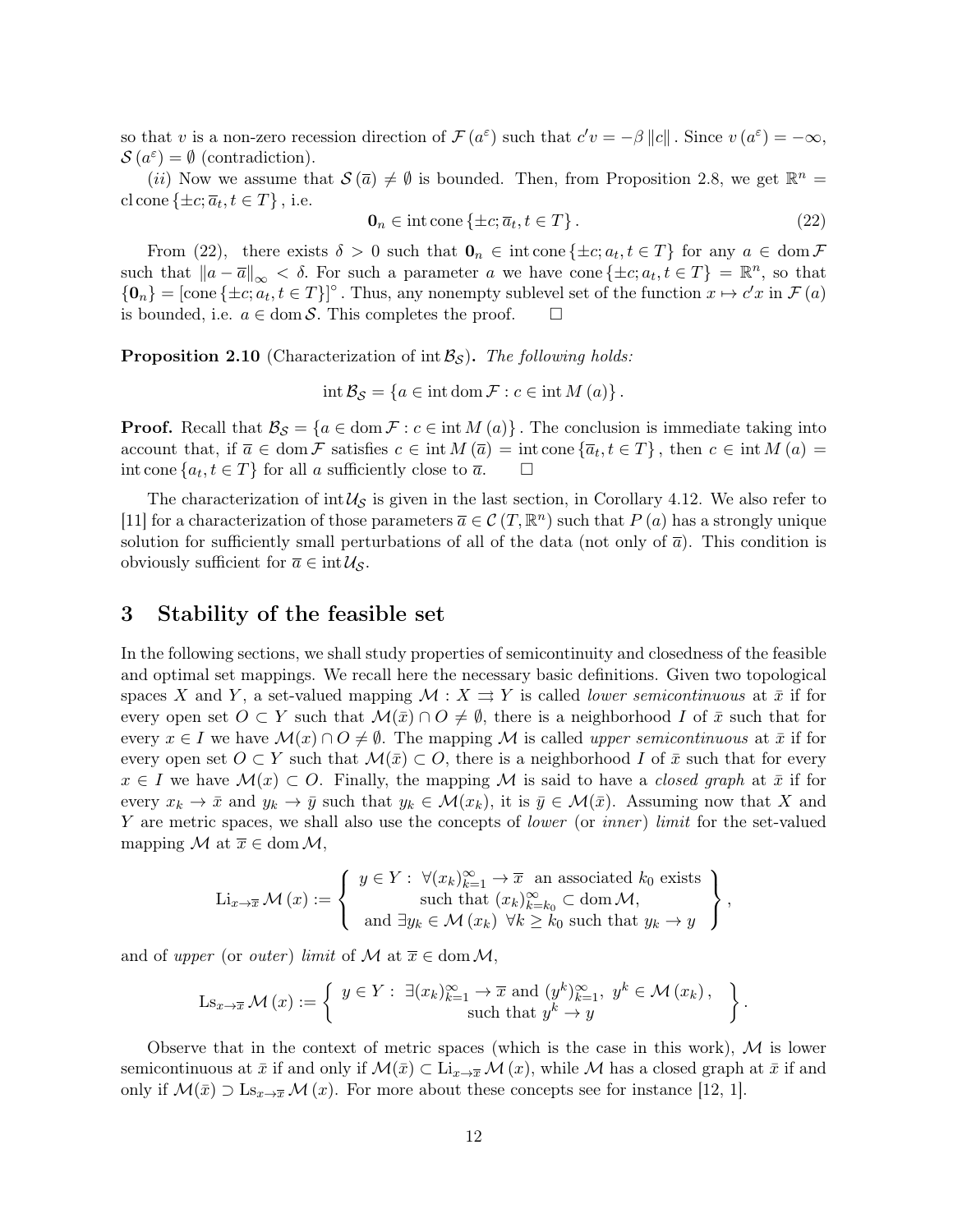so that v is a non-zero recession direction of  $\mathcal{F}(a^{\varepsilon})$  such that  $c'v = -\beta ||c||$ . Since  $v(a^{\varepsilon}) = -\infty$ ,  $\mathcal{S}(a^{\varepsilon}) = \emptyset$  (contradiction).

(*ii*) Now we assume that  $\mathcal{S}(\bar{a}) \neq \emptyset$  is bounded. Then, from Proposition 2.8, we get  $\mathbb{R}^n =$ cl cone  $\{\pm c; \overline{a}_t, t \in T\}$ , i.e.

$$
\mathbf{0}_n \in \text{int cone}\left\{\pm c; \overline{a}_t, t \in T\right\}.
$$
\n
$$
(22)
$$

From (22), there exists  $\delta > 0$  such that  $\mathbf{0}_n \in \text{int cone } \{\pm c; a_t, t \in T\}$  for any  $a \in \text{dom } \mathcal{F}$ such that  $||a - \overline{a}||_{\infty} < \delta$ . For such a parameter a we have cone { $\pm c$ ;  $a_t, t \in T$ } =  $\mathbb{R}^n$ , so that  ${0_n} = [\text{cone} \{ \pm c; a_t, t \in T \}]^{\circ}$ . Thus, any nonempty sublevel set of the function  $x \mapsto c'x$  in  $\mathcal{F}(a)$ is bounded, i.e.  $a \in \text{dom } S$ . This completes the proof.  $\Box$ 

**Proposition 2.10** (Characterization of int  $\mathcal{B}_{\mathcal{S}}$ ). The following holds:

 $\text{int } \mathcal{B}_{\mathcal{S}} = \{a \in \text{int dom }\mathcal{F} : c \in \text{int }M(a)\}\.$ 

**Proof.** Recall that  $\mathcal{B}_{\mathcal{S}} = \{a \in \text{dom } \mathcal{F} : c \in \text{int } M(a)\}\.$  The conclusion is immediate taking into account that, if  $\overline{a} \in \text{dom } \mathcal{F}$  satisfies  $c \in \text{int } M(\overline{a}) = \text{int cone } {\overline{a_t}, t \in T}$ , then  $c \in \text{int } M(a) =$ int cone  $\{a_t, t \in T\}$  for all a sufficiently close to  $\overline{a}$ .  $\Box$ 

The characterization of int  $\mathcal{U}_{\mathcal{S}}$  is given in the last section, in Corollary 4.12. We also refer to [11] for a characterization of those parameters  $\overline{a} \in \mathcal{C}(T, \mathbb{R}^n)$  such that  $P(a)$  has a strongly unique solution for sufficiently small perturbations of all of the data (not only of  $\bar{a}$ ). This condition is obviously sufficient for  $\overline{a} \in \text{int} \mathcal{U}_{\mathcal{S}}$ .

## 3 Stability of the feasible set

In the following sections, we shall study properties of semicontinuity and closedness of the feasible and optimal set mappings. We recall here the necessary basic definitions. Given two topological spaces X and Y, a set-valued mapping  $\mathcal{M}: X \rightrightarrows Y$  is called *lower semicontinuous* at  $\bar{x}$  if for every open set  $O \subset Y$  such that  $\mathcal{M}(\bar{x}) \cap O \neq \emptyset$ , there is a neighborhood I of  $\bar{x}$  such that for every  $x \in I$  we have  $\mathcal{M}(x) \cap O \neq \emptyset$ . The mapping M is called upper semicontinuous at  $\bar{x}$  if for every open set  $O \subset Y$  such that  $\mathcal{M}(\bar{x}) \subset O$ , there is a neighborhood I of  $\bar{x}$  such that for every  $x \in I$  we have  $\mathcal{M}(x) \subset O$ . Finally, the mapping M is said to have a *closed graph* at  $\bar{x}$  if for every  $x_k \to \bar{x}$  and  $y_k \to \bar{y}$  such that  $y_k \in \mathcal{M}(x_k)$ , it is  $\bar{y} \in \mathcal{M}(\bar{x})$ . Assuming now that X and Y are metric spaces, we shall also use the concepts of *lower* (or *inner*) *limit* for the set-valued mapping M at  $\overline{x} \in \text{dom } \mathcal{M},$ 

$$
\mathrm{Li}_{x\to \overline{x}}\mathcal{M}(x) := \left\{ \begin{array}{c} y \in Y: \ \forall (x_k)_{k=1}^{\infty} \to \overline{x} \ \text{ an associated } k_0 \text{ exists} \\ \text{such that } (x_k)_{k=k_0}^{\infty} \subset \mathrm{dom}\,\mathcal{M}, \\ \text{and } \exists y_k \in \mathcal{M}(x_k) \ \forall k \geq k_0 \text{ such that } y_k \to y \end{array} \right\},
$$

and of upper (or *outer*) limit of M at  $\overline{x} \in \text{dom } \mathcal{M}$ ,

$$
\operatorname{Ls}_{x \to \overline{x}} \mathcal{M}(x) := \left\{ \begin{array}{c} y \in Y: \ \exists (x_k)_{k=1}^{\infty} \to \overline{x} \text{ and } (y^k)_{k=1}^{\infty}, \ y^k \in \mathcal{M}(x_k), \\ \text{such that } y^k \to y \end{array} \right\}.
$$

Observe that in the context of metric spaces (which is the case in this work),  $\mathcal M$  is lower semicontinuous at  $\bar{x}$  if and only if  $\mathcal{M}(\bar{x}) \subset \mathrm{Li}_{x\to \bar{x}} \mathcal{M}(x)$ , while M has a closed graph at  $\bar{x}$  if and only if  $\mathcal{M}(\bar{x}) \supset \mathrm{Ls}_{x\to \bar{x}} \mathcal{M}(x)$ . For more about these concepts see for instance [12, 1].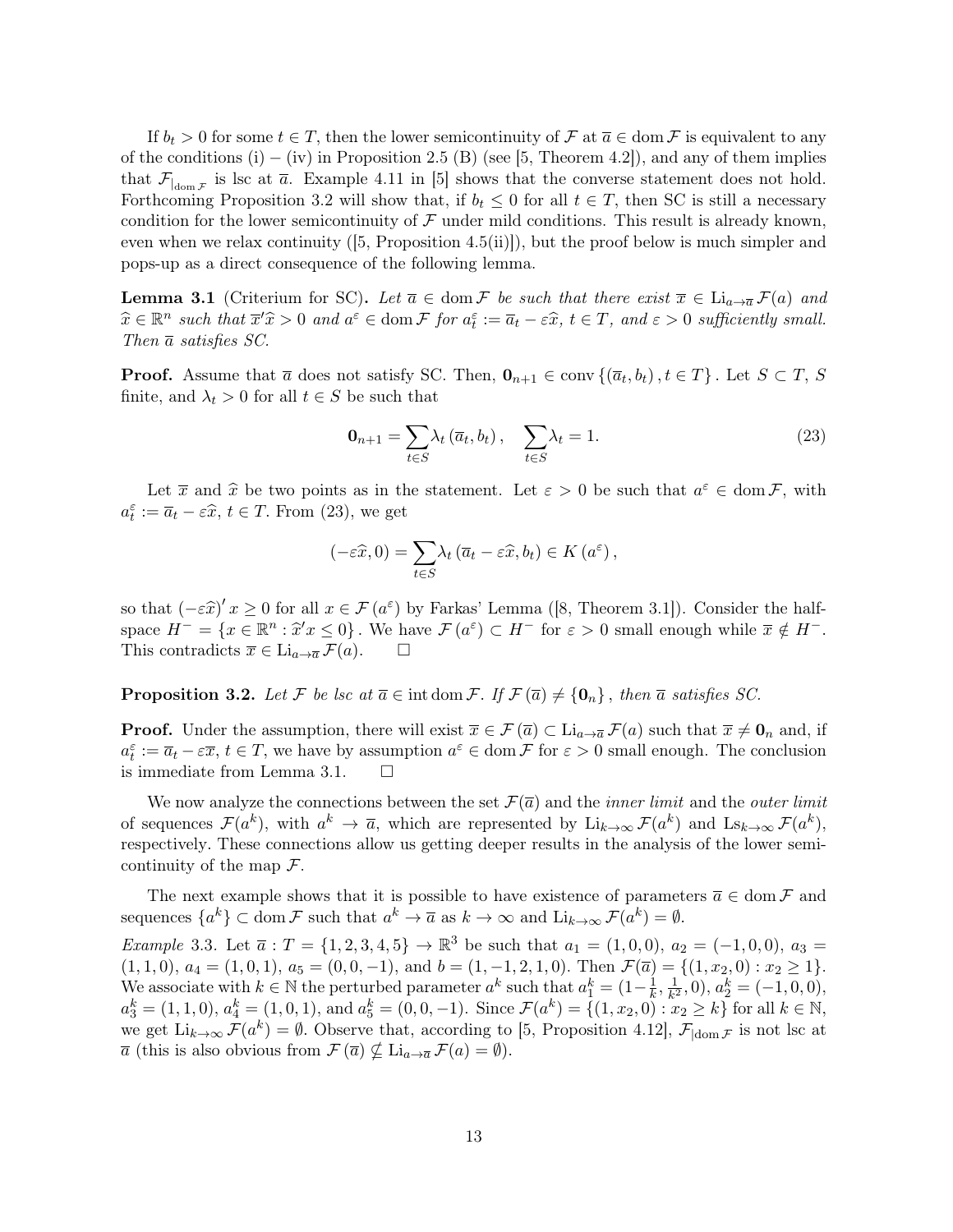If  $b_t > 0$  for some  $t \in T$ , then the lower semicontinuity of F at  $\overline{a} \in \text{dom } \mathcal{F}$  is equivalent to any of the conditions (i) – (iv) in Proposition 2.5 (B) (see [5, Theorem 4.2]), and any of them implies that  $\mathcal{F}_{\text{dom}\,\mathcal{F}}$  is lsc at  $\overline{a}$ . Example 4.11 in [5] shows that the converse statement does not hold. Forthcoming Proposition 3.2 will show that, if  $b_t \leq 0$  for all  $t \in T$ , then SC is still a necessary condition for the lower semicontinuity of  $\mathcal F$  under mild conditions. This result is already known, even when we relax continuity ([5, Proposition 4.5(ii)]), but the proof below is much simpler and pops-up as a direct consequence of the following lemma.

**Lemma 3.1** (Criterium for SC). Let  $\bar{a} \in \text{dom } \mathcal{F}$  be such that there exist  $\bar{x} \in \text{Li}_{a\to \bar{a}}\mathcal{F}(a)$  and  $\widehat{x} \in \mathbb{R}^n$  such that  $\overline{x}'\widehat{x} > 0$  and  $a^{\varepsilon} \in \text{dom } \mathcal{F}$  for  $a_t^{\varepsilon} := \overline{a}_t - \varepsilon \widehat{x}$ ,  $t \in T$ , and  $\varepsilon > 0$  sufficiently small.<br>Then  $\overline{x}$  extistes  $SC$ Then  $\bar{a}$  satisfies SC.

**Proof.** Assume that  $\overline{a}$  does not satisfy SC. Then,  $\mathbf{0}_{n+1} \in \text{conv}\{(\overline{a}_t, b_t), t \in T\}$ . Let  $S \subset T$ , S finite, and  $\lambda_t > 0$  for all  $t \in S$  be such that

$$
\mathbf{0}_{n+1} = \sum_{t \in S} \lambda_t \left( \overline{a}_t, b_t \right), \quad \sum_{t \in S} \lambda_t = 1. \tag{23}
$$

Let  $\overline{x}$  and  $\hat{x}$  be two points as in the statement. Let  $\varepsilon > 0$  be such that  $a^{\varepsilon} \in \text{dom } \mathcal{F}$ , with  $\overline{x} = \overline{x}$   $\widehat{x} \in \mathcal{F}$ . From (23), we get  $a_t^{\varepsilon} := \overline{a}_t - \varepsilon \widehat{x}, t \in T$ . From (23), we get

$$
(-\varepsilon \widehat{x}, 0) = \sum_{t \in S} \lambda_t (\overline{a}_t - \varepsilon \widehat{x}, b_t) \in K(a^{\varepsilon}),
$$

so that  $(-\varepsilon \hat{x})' x \ge 0$  for all  $x \in \mathcal{F}(a^{\varepsilon})$  by Farkas' Lemma ([8, Theorem 3.1]). Consider the half-<br>space  $H^- = \{x \in \mathbb{R}^n : \hat{x}'x \le 0\}$ , We have  $\mathcal{F}(a^{\varepsilon}) \subset H^-$  for  $\varepsilon > 0$  small appears while  $\overline{x} \notin H^$ space  $H^- = \{x \in \mathbb{R}^n : \hat{x}'x \leq 0\}$ . We have  $\mathcal{F}(a^{\varepsilon}) \subset H^-$  for  $\varepsilon > 0$  small enough while  $\overline{x} \notin H^-$ .<br>This contradicts  $\overline{x} \subset \overline{V}$ . This contradicts  $\overline{x} \in \mathrm{Li}_{a \to \overline{a}} \mathcal{F}(a)$ .  $\Box$ 

**Proposition 3.2.** Let F be lsc at  $\overline{a} \in \text{int dom } \mathcal{F}$ . If  $\mathcal{F}(\overline{a}) \neq \{0_n\}$ , then  $\overline{a}$  satisfies SC.

**Proof.** Under the assumption, there will exist  $\overline{x} \in \mathcal{F}(\overline{a}) \subset \mathrm{Li}_{a \to \overline{a}} \mathcal{F}(a)$  such that  $\overline{x} \neq \mathbf{0}_n$  and, if  $a_t^{\varepsilon} := \overline{a}_t - \varepsilon \overline{x}, t \in T$ , we have by assumption  $a^{\varepsilon} \in \text{dom } \mathcal{F}$  for  $\varepsilon > 0$  small enough. The conclusion is immediate from Lemma 3.1.  $\square$ 

We now analyze the connections between the set  $\mathcal{F}(\bar{a})$  and the *inner limit* and the *outer limit* of sequences  $\mathcal{F}(a^k)$ , with  $a^k \to \overline{a}$ , which are represented by  $\text{Li}_{k\to\infty} \mathcal{F}(a^k)$  and  $\text{Ls}_{k\to\infty} \mathcal{F}(a^k)$ , respectively. These connections allow us getting deeper results in the analysis of the lower semicontinuity of the map  $\mathcal{F}$ .

The next example shows that it is possible to have existence of parameters  $\overline{a} \in \text{dom } \mathcal{F}$  and sequences  $\{a^k\} \subset \text{dom } \mathcal{F}$  such that  $a^k \to \overline{a}$  as  $k \to \infty$  and  $\text{Li}_{k\to\infty} \mathcal{F}(a^k) = \emptyset$ .

Example 3.3. Let  $\bar{a}: T = \{1, 2, 3, 4, 5\} \to \mathbb{R}^3$  be such that  $a_1 = (1, 0, 0), a_2 = (-1, 0, 0), a_3 =$  $(1, 1, 0), a_4 = (1, 0, 1), a_5 = (0, 0, -1), \text{ and } b = (1, -1, 2, 1, 0). \text{ Then } \mathcal{F}(\overline{a}) = \{(1, x_2, 0) : x_2 \geq 1\}.$ We associate with  $k \in \mathbb{N}$  the perturbed parameter  $a^k$  such that  $a_1^k = (1 - \frac{1}{k})$  $\frac{1}{k}, \frac{1}{k^2}$  $\frac{1}{k^2}$ , 0),  $a_2^k = (-1, 0, 0)$ ,  $a_3^k = (1, 1, 0), a_4^k = (1, 0, 1), \text{ and } a_5^k = (0, 0, -1).$  Since  $\mathcal{F}(a^k) = \{(1, x_2, 0) : x_2 \ge k\}$  for all  $k \in \mathbb{N},$ we get  $\text{Li}_{k\to\infty} \mathcal{F}(a^k) = \emptyset$ . Observe that, according to [5, Proposition 4.12],  $\mathcal{F}_{\text{dom}\mathcal{F}}$  is not lsc at  $\overline{a}$  (this is also obvious from  $\mathcal{F}(\overline{a}) \nsubseteq \mathrm{Li}_{a\to\overline{a}}\mathcal{F}(a) = \emptyset$ ).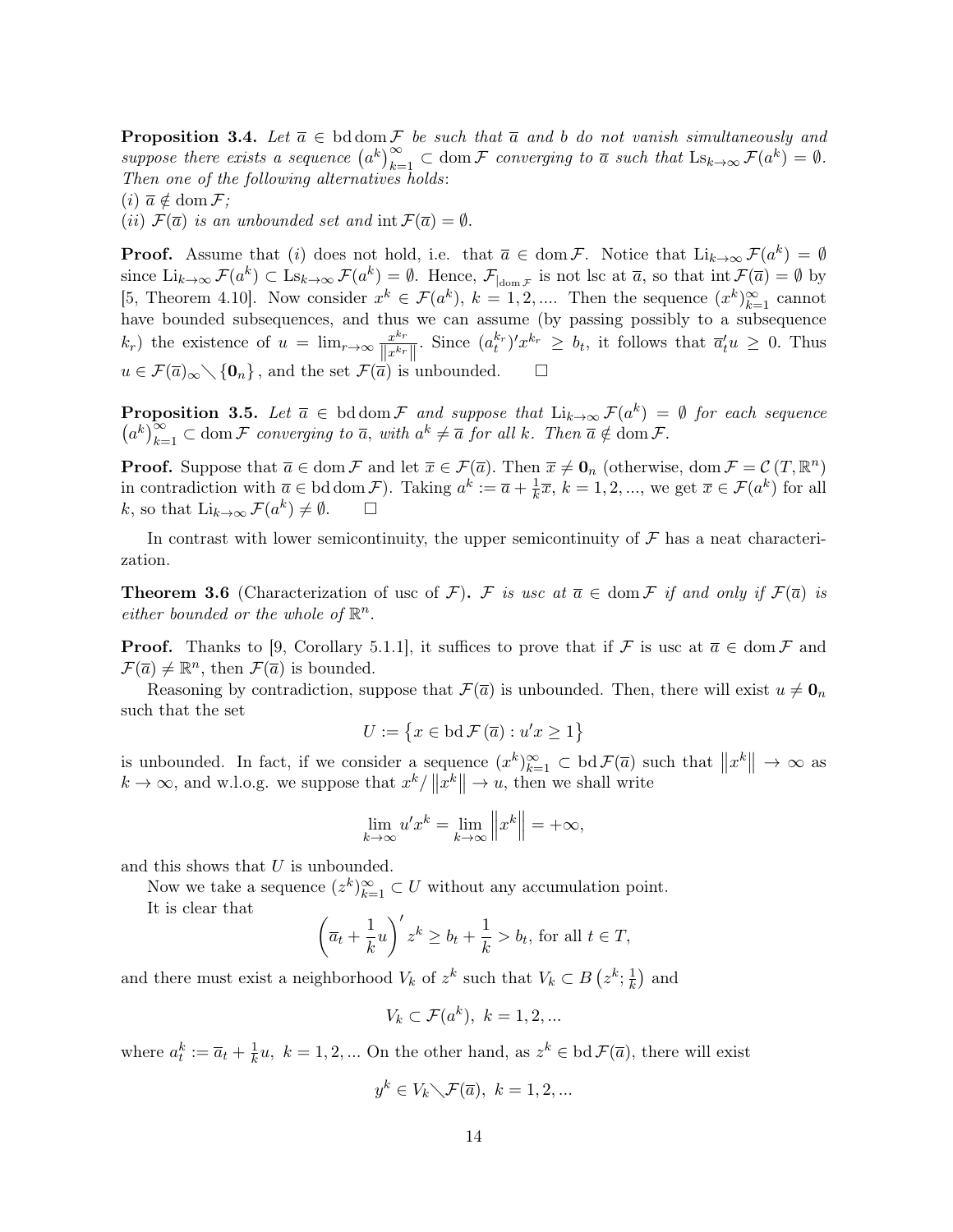**Proposition 3.4.** Let  $\overline{a} \in \text{bd} \text{dom } \mathcal{F}$  be such that  $\overline{a}$  and b do not vanish simultaneously and suppose there exists a sequence  $(a^k)_{k=1}^{\infty} \subset \text{dom } \mathcal{F}$  converging to  $\overline{a}$  such that  $\text{Ls}_{k\to\infty} \mathcal{F}(a^k) = \emptyset$ . Then one of the following alternatives holds:

 $(i) \overline{a} \notin \text{dom } \mathcal{F}$ ;

(ii)  $\mathcal{F}(\overline{a})$  is an unbounded set and  $\text{int }\mathcal{F}(\overline{a}) = \emptyset$ .

**Proof.** Assume that (i) does not hold, i.e. that  $\overline{a} \in \text{dom } \mathcal{F}$ . Notice that  $\text{Li}_{k\to\infty} \mathcal{F}(a^k) = \emptyset$ since  $\text{Li}_{k\to\infty} \mathcal{F}(a^k) \subset \text{Ls}_{k\to\infty} \mathcal{F}(a^k) = \emptyset$ . Hence,  $\mathcal{F}_{\substack{\text{dom } \mathcal{F}}}$  is not lsc at  $\bar{a}$ , so that  $\text{int } \mathcal{F}(\bar{a}) = \emptyset$  by [5, Theorem 4.10]. Now consider  $x^k \in \mathcal{F}(a^k)$ ,  $k = 1, 2, \dots$  Then the sequence  $(x^k)_{k=1}^{\infty}$  cannot have bounded subsequences, and thus we can assume (by passing possibly to a subsequence  $(k_r)$  the existence of  $u = \lim_{r \to \infty} \frac{x^{k_r}}{\prod_{r \neq k_r}}$  $\frac{x^{k_r}}{\|x^{k_r}\|}$ . Since  $(a_t^{k_r})'x^{k_r} \geq b_t$ , it follows that  $\overline{a}_t' u \geq 0$ . Thus  $u \in \mathcal{F}(\overline{a})_{\infty} \setminus \{\mathbf{0}_n\}$ , and the set  $\mathcal{F}(\overline{a})$  is unbounded.

**Proposition 3.5.** Let  $\overline{a} \in \text{bd} \text{dom } \mathcal{F}$  and suppose that  $\text{Li}_{k\to\infty} \mathcal{F}(a^k) = \emptyset$  for each sequence  $(a^k)_{k=1}^{\infty} \subset \text{dom } \mathcal{F}$  converging to  $\overline{a}$ , with  $a^k \neq \overline{a}$  for all k. Then  $\overline{a} \notin \text{dom } \mathcal{F}$ .

**Proof.** Suppose that  $\overline{a} \in \text{dom } \mathcal{F}$  and let  $\overline{x} \in \mathcal{F}(\overline{a})$ . Then  $\overline{x} \neq \mathbf{0}_n$  (otherwise, dom  $\mathcal{F} = \mathcal{C}(T, \mathbb{R}^n)$ ) in contradiction with  $\overline{a} \in \text{bd dom } \mathcal{F}$ . Taking  $a^k := \overline{a} + \frac{1}{k}$  $\frac{1}{k}\overline{x}$ ,  $k = 1, 2, ...,$  we get  $\overline{x} \in \mathcal{F}(a^k)$  for all k, so that  $\text{Li}_{k\to\infty} \mathcal{F}(a^k) \neq \emptyset$ .  $\Box$ 

In contrast with lower semicontinuity, the upper semicontinuity of  $\mathcal F$  has a neat characterization.

**Theorem 3.6** (Characterization of usc of F). F is usc at  $\overline{a} \in \text{dom } \mathcal{F}$  if and only if  $\mathcal{F}(\overline{a})$  is either bounded or the whole of  $\mathbb{R}^n$ .

**Proof.** Thanks to [9, Corollary 5.1.1], it suffices to prove that if F is usc at  $\bar{a} \in \text{dom } \mathcal{F}$  and  $\mathcal{F}(\overline{a}) \neq \mathbb{R}^n$ , then  $\mathcal{F}(\overline{a})$  is bounded.

Reasoning by contradiction, suppose that  $\mathcal{F}(\overline{a})$  is unbounded. Then, there will exist  $u \neq \mathbf{0}_n$ such that the set

$$
U := \{ x \in \text{bd } \mathcal{F}(\overline{a}) : u'x \ge 1 \}
$$

is unbounded. In fact, if we consider a sequence  $(x^k)_{k=1}^{\infty} \subset \text{bd } \mathcal{F}(\overline{a})$  such that  $||x^k|| \to \infty$  as  $k \to \infty$ , and w.l.o.g. we suppose that  $x^k / ||x^k|| \to u$ , then we shall write

$$
\lim_{k \to \infty} u' x^k = \lim_{k \to \infty} ||x^k|| = +\infty,
$$

and this shows that  $U$  is unbounded.

Now we take a sequence  $(z^k)_{k=1}^{\infty} \subset U$  without any accumulation point.

It is clear that

$$
\left(\overline{a}_t + \frac{1}{k}u\right)' z^k \ge b_t + \frac{1}{k} > b_t, \text{ for all } t \in T,
$$

and there must exist a neighborhood  $V_k$  of  $z^k$  such that  $V_k \subset B(z^k; \frac{1}{k})$  $\frac{1}{k}$  and

$$
V_k \subset \mathcal{F}(a^k), \ k = 1, 2, \dots
$$

where  $a_t^k := \overline{a}_t + \frac{1}{k}$  $\frac{1}{k}u, k = 1, 2, ...$  On the other hand, as  $z^k \in \text{bd }\mathcal{F}(\overline{a})$ , there will exist

$$
y^k \in V_k \diagdown \mathcal{F}(\overline{a}), \ k = 1, 2, \dots
$$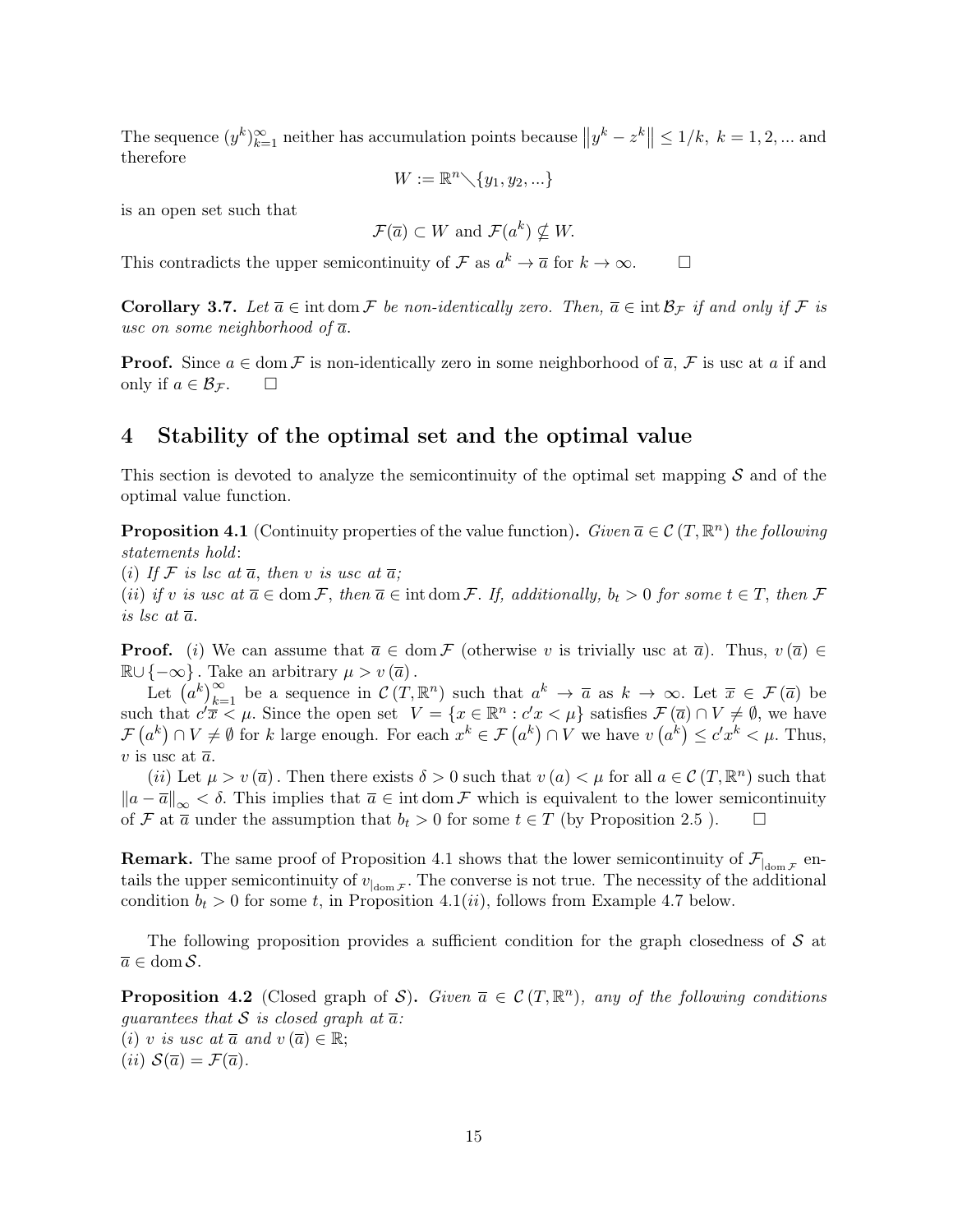The sequence  $(y^k)_{k=1}^{\infty}$  neither has accumulation points because  $||y^k - z^k|| \le 1/k$ ,  $k = 1, 2, ...$  and therefore

$$
W := \mathbb{R}^n \diagdown \{y_1, y_2, \ldots\}
$$

is an open set such that

$$
\mathcal{F}(\overline{a}) \subset W \text{ and } \mathcal{F}(a^k) \nsubseteq W.
$$

This contradicts the upper semicontinuity of  $\mathcal F$  as  $a^k \to \overline{a}$  for  $k \to \infty$ .

**Corollary 3.7.** Let  $\overline{a} \in \text{int dom }\mathcal{F}$  be non-identically zero. Then,  $\overline{a} \in \text{int } \mathcal{B}_{\mathcal{F}}$  if and only if  $\mathcal{F}$  is usc on some neighborhood of  $\overline{a}$ .

**Proof.** Since  $a \in \text{dom } \mathcal{F}$  is non-identically zero in some neighborhood of  $\overline{a}$ ,  $\mathcal{F}$  is usc at a if and only if  $a \in \mathcal{B}_{\mathcal{F}}$ .  $\square$ 

# 4 Stability of the optimal set and the optimal value

This section is devoted to analyze the semicontinuity of the optimal set mapping  $S$  and of the optimal value function.

**Proposition 4.1** (Continuity properties of the value function). Given  $\overline{a} \in \mathcal{C}(T, \mathbb{R}^n)$  the following statements hold:

(i) If F is lsc at  $\overline{a}$ , then v is usc at  $\overline{a}$ ;

(ii) if v is usc at  $\overline{a} \in \text{dom } \mathcal{F}$ , then  $\overline{a} \in \text{int dom } \mathcal{F}$ . If, additionally,  $b_t > 0$  for some  $t \in T$ , then  $\mathcal{F}$ is lsc at  $\overline{a}$ .

**Proof.** (i) We can assume that  $\overline{a} \in \text{dom } \mathcal{F}$  (otherwise v is trivially usc at  $\overline{a}$ ). Thus,  $v(\overline{a}) \in$  $\mathbb{R} \cup \{-\infty\}$ . Take an arbitrary  $\mu > v(\overline{a})$ .

Let  $(a^k)_{k=1}^{\infty}$  be a sequence in  $\mathcal{C}(T,\mathbb{R}^n)$  such that  $a^k \to \overline{a}$  as  $k \to \infty$ . Let  $\overline{x} \in \mathcal{F}(\overline{a})$  be such that  $c'\overline{x} \leq \mu$ . Since the open set  $V = \{x \in \mathbb{R}^n : c'x \leq \mu\}$  satisfies  $\mathcal{F}(\overline{a}) \cap V \neq \emptyset$ , we have  $\mathcal{F}(a^k) \cap V \neq \emptyset$  for k large enough. For each  $x^k \in \mathcal{F}(a^k) \cap V$  we have  $v(a^k) \leq c'x^k < \mu$ . Thus, v is usc at  $\bar{a}$ .

(*ii*) Let  $\mu > v(\overline{a})$ . Then there exists  $\delta > 0$  such that  $v(a) < \mu$  for all  $a \in \mathcal{C}(T, \mathbb{R}^n)$  such that  $\|a - \overline{a}\|_{\infty} < \delta$ . This implies that  $\overline{a} \in \text{int dom }\mathcal{F}$  which is equivalent to the lower semicontinuity of F at  $\bar{a}$  under the assumption that  $b_t > 0$  for some  $t \in T$  (by Proposition 2.5).  $\Box$ 

**Remark.** The same proof of Proposition 4.1 shows that the lower semicontinuity of  $\mathcal{F}_{\vert_{\text{dom }\mathcal{F}}}$  entails the upper semicontinuity of  $v_{\vert_{\text{dom }\mathcal{F}}}$ . The converse is not true. The necessity of the additional condition  $b_t > 0$  for some t, in Proposition 4.1(ii), follows from Example 4.7 below.

The following proposition provides a sufficient condition for the graph closedness of  $S$  at  $\overline{a} \in \text{dom } \mathcal{S}.$ 

**Proposition 4.2** (Closed graph of S). Given  $\overline{a} \in C(T, \mathbb{R}^n)$ , any of the following conditions guarantees that S is closed graph at  $\overline{a}$ : (i) v is usc at  $\overline{a}$  and  $v(\overline{a}) \in \mathbb{R}$ ; (*ii*)  $S(\overline{a}) = \mathcal{F}(\overline{a})$ .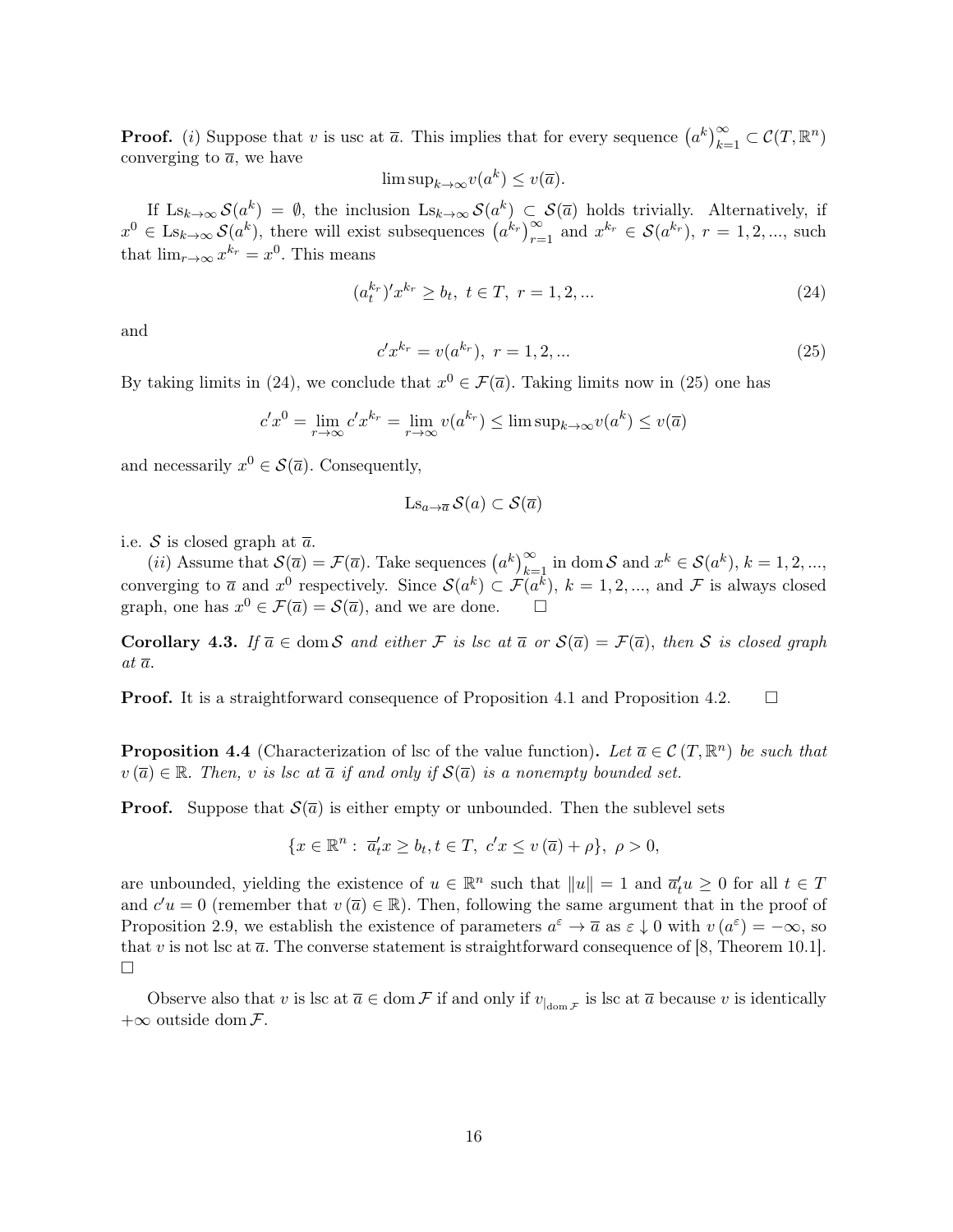**Proof.** (*i*) Suppose that *v* is usc at  $\overline{a}$ . This implies that for every sequence  $(a^k)_{k=1}^{\infty} \subset C(T, \mathbb{R}^n)$ converging to  $\overline{a}$ , we have

$$
\limsup_{k \to \infty} v(a^k) \le v(\overline{a}).
$$

If  $\text{Ls}_{k\to\infty} S(a^k) = \emptyset$ , the inclusion  $\text{Ls}_{k\to\infty} S(a^k) \subset S(\overline{a})$  holds trivially. Alternatively, if  $x^0 \in \text{Ls}_{k\to\infty} S(a^k)$ , there will exist subsequences  $(a^{k_r})_{r=1}^{\infty}$  and  $x^{k_r} \in S(a^{k_r})$ ,  $r = 1, 2, ...,$  such that  $\lim_{r\to\infty} x^{k_r} = x^0$ . This means

$$
(a_t^{k_r})' x^{k_r} \ge b_t, \ t \in T, \ r = 1, 2, \dots \tag{24}
$$

and

$$
c'x^{k_r} = v(a^{k_r}), \ r = 1, 2, \dots \tag{25}
$$

By taking limits in (24), we conclude that  $x^0 \in \mathcal{F}(\overline{a})$ . Taking limits now in (25) one has

$$
c'x^{0} = \lim_{r \to \infty} c'x^{k_r} = \lim_{r \to \infty} v(a^{k_r}) \le \limsup_{k \to \infty} v(a^k) \le v(\overline{a})
$$

and necessarily  $x^0 \in \mathcal{S}(\overline{a})$ . Consequently,

$$
Ls_{a\to \overline{a}}\mathcal{S}(a)\subset \mathcal{S}(\overline{a})
$$

i.e. S is closed graph at  $\overline{a}$ .

(*ii*) Assume that  $\mathcal{S}(\overline{a}) = \mathcal{F}(\overline{a})$ . Take sequences  $(a^k)_{k=1}^{\infty}$  in dom  $\mathcal{S}$  and  $x^k \in \mathcal{S}(a^k)$ ,  $k = 1, 2, ...,$ converging to  $\bar{a}$  and  $x^0$  respectively. Since  $\mathcal{S}(a^k) \subset \mathcal{F}(a^k)$ ,  $k = 1, 2, ...,$  and  $\mathcal{F}$  is always closed graph, one has  $x^0 \in \mathcal{F}(\overline{a}) = \mathcal{S}(\overline{a})$ , and we are done.

Corollary 4.3. If  $\overline{a} \in \text{dom } S$  and either F is lsc at  $\overline{a}$  or  $S(\overline{a}) = \mathcal{F}(\overline{a})$ , then S is closed graph at  $\overline{a}$ .

**Proof.** It is a straightforward consequence of Proposition 4.1 and Proposition 4.2.  $\Box$ 

**Proposition 4.4** (Characterization of lsc of the value function). Let  $\overline{a} \in \mathcal{C}(T, \mathbb{R}^n)$  be such that  $v(\overline{a}) \in \mathbb{R}$ . Then, v is lsc at  $\overline{a}$  if and only if  $\mathcal{S}(\overline{a})$  is a nonempty bounded set.

**Proof.** Suppose that  $\mathcal{S}(\bar{a})$  is either empty or unbounded. Then the sublevel sets

$$
\{x \in \mathbb{R}^n: \overline{a}_t^t x \ge b_t, t \in T, \ c'x \le v(\overline{a}) + \rho\}, \ \rho > 0,
$$

are unbounded, yielding the existence of  $u \in \mathbb{R}^n$  such that  $||u|| = 1$  and  $\overline{a}_t^t u \ge 0$  for all  $t \in T$ and  $c'u = 0$  (remember that  $v(\overline{a}) \in \mathbb{R}$ ). Then, following the same argument that in the proof of Proposition 2.9, we establish the existence of parameters  $a^{\varepsilon} \to \overline{a}$  as  $\varepsilon \downarrow 0$  with  $v(a^{\varepsilon}) = -\infty$ , so that v is not lsc at  $\bar{a}$ . The converse statement is straightforward consequence of [8, Theorem 10.1].  $\Box$ 

Observe also that v is lsc at  $\overline{a} \in \text{dom } \mathcal{F}$  if and only if  $v_{\vert \text{dom } \mathcal{F}}$  is lsc at  $\overline{a}$  because v is identically  $+\infty$  outside dom  $\mathcal{F}.$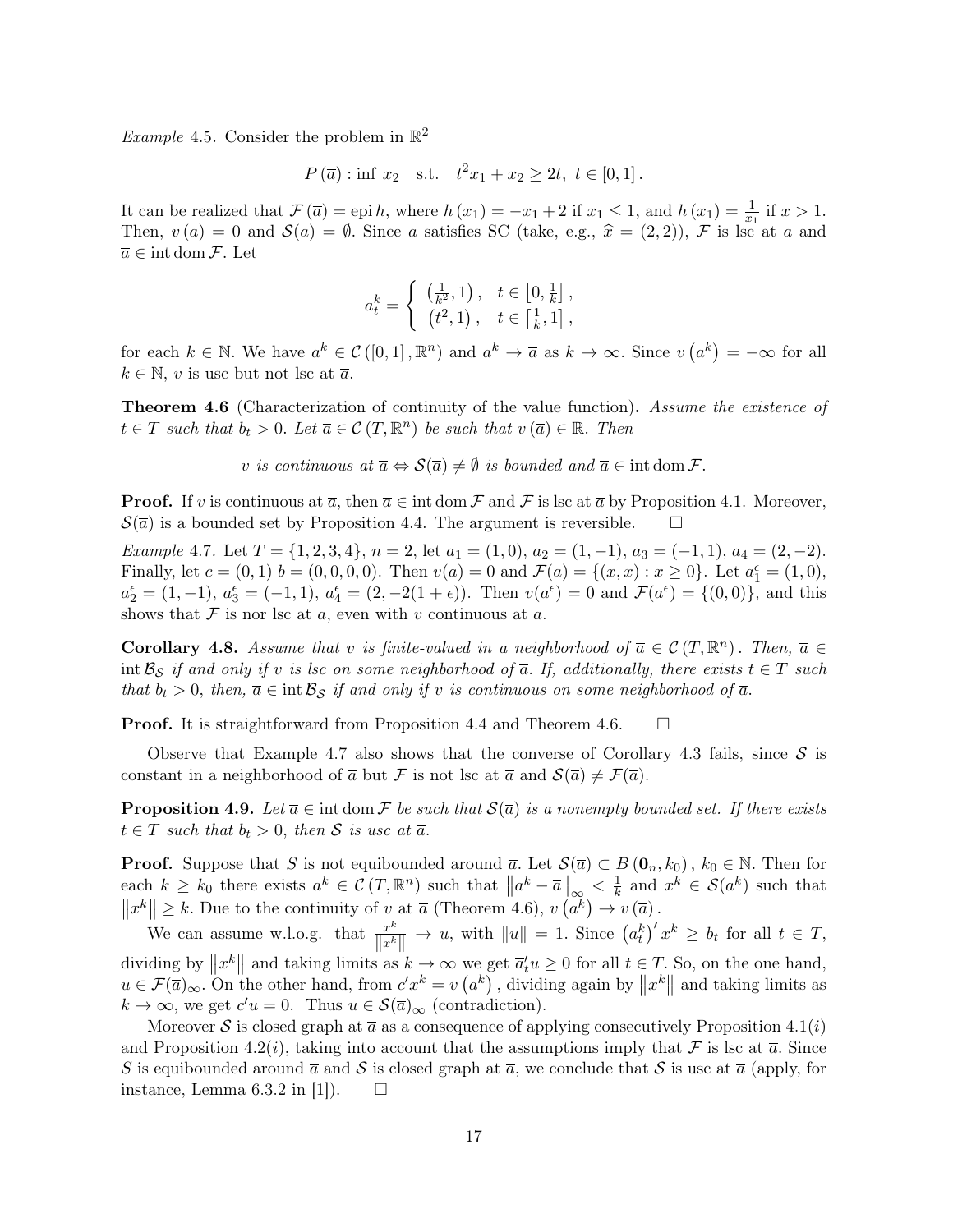*Example* 4.5. Consider the problem in  $\mathbb{R}^2$ 

$$
P(\overline{a})
$$
: inf  $x_2$  s.t.  $t^2x_1 + x_2 \ge 2t$ ,  $t \in [0, 1]$ .

It can be realized that  $\mathcal{F}(\overline{a}) = \text{epi } h$ , where  $h(x_1) = -x_1 + 2$  if  $x_1 \leq 1$ , and  $h(x_1) = \frac{1}{x_1}$  if  $x > 1$ . Then,  $v(\bar{a}) = 0$  and  $\mathcal{S}(\bar{a}) = \emptyset$ . Since  $\bar{a}$  satisfies SC (take, e.g.,  $\hat{x} = (2, 2)$ ), F is lsc at  $\bar{a}$  and  $\overline{a} \in \text{int dom}\,\mathcal{F}$ . Let

$$
a_t^k = \begin{cases} \left(\frac{1}{k^2}, 1\right), & t \in \left[0, \frac{1}{k}\right], \\ \left(t^2, 1\right), & t \in \left[\frac{1}{k}, 1\right], \end{cases}
$$

for each  $k \in \mathbb{N}$ . We have  $a^k \in \mathcal{C}([0,1], \mathbb{R}^n)$  and  $a^k \to \overline{a}$  as  $k \to \infty$ . Since  $v(a^k) = -\infty$  for all  $k \in \mathbb{N}$ , v is usc but not lsc at  $\overline{a}$ .

**Theorem 4.6** (Characterization of continuity of the value function). Assume the existence of  $t \in T$  such that  $b_t > 0$ . Let  $\overline{a} \in \mathcal{C}(T, \mathbb{R}^n)$  be such that  $v(\overline{a}) \in \mathbb{R}$ . Then

v is continuous at  $\overline{a} \Leftrightarrow \mathcal{S}(\overline{a}) \neq \emptyset$  is bounded and  $\overline{a} \in \text{int dom }\mathcal{F}$ .

**Proof.** If v is continuous at  $\overline{a}$ , then  $\overline{a} \in \text{int dom }\mathcal{F}$  and  $\mathcal{F}$  is lsc at  $\overline{a}$  by Proposition 4.1. Moreover,  $\mathcal{S}(\bar{a})$  is a bounded set by Proposition 4.4. The argument is reversible.  $\Box$ 

Example 4.7. Let  $T = \{1, 2, 3, 4\}, n = 2$ , let  $a_1 = (1, 0), a_2 = (1, -1), a_3 = (-1, 1), a_4 = (2, -2)$ . Finally, let  $c = (0, 1)$   $b = (0, 0, 0, 0)$ . Then  $v(a) = 0$  and  $\mathcal{F}(a) = \{(x, x) : x \ge 0\}$ . Let  $a_1^{\epsilon} = (1, 0)$ ,  $a_2^{\epsilon} = (1, -1), a_3^{\epsilon} = (-1, 1), a_4^{\epsilon} = (2, -2(1 + \epsilon))$ . Then  $v(a^{\epsilon}) = 0$  and  $\mathcal{F}(a^{\epsilon}) = \{(0, 0)\}\$ , and this shows that  $\mathcal F$  is nor lsc at a, even with v continuous at a.

**Corollary 4.8.** Assume that v is finite-valued in a neighborhood of  $\overline{a} \in \mathcal{C}(T, \mathbb{R}^n)$ . Then,  $\overline{a} \in$ int  $\mathcal{B}_S$  if and only if v is lsc on some neighborhood of  $\overline{a}$ . If, additionally, there exists  $t \in T$  such that  $b_t > 0$ , then,  $\overline{a} \in \text{int} \mathcal{B}_S$  if and only if v is continuous on some neighborhood of  $\overline{a}$ .

**Proof.** It is straightforward from Proposition 4.4 and Theorem 4.6.  $\Box$ 

Observe that Example 4.7 also shows that the converse of Corollary 4.3 fails, since  $S$  is constant in a neighborhood of  $\overline{a}$  but F is not lsc at  $\overline{a}$  and  $\mathcal{S}(\overline{a}) \neq \mathcal{F}(\overline{a})$ .

**Proposition 4.9.** Let  $\overline{a} \in \text{int dom } \mathcal{F}$  be such that  $\mathcal{S}(\overline{a})$  is a nonempty bounded set. If there exists  $t \in T$  such that  $b_t > 0$ , then S is usc at  $\overline{a}$ .

**Proof.** Suppose that S is not equibounded around  $\overline{a}$ . Let  $\mathcal{S}(\overline{a}) \subset B(0_n, k_0)$ ,  $k_0 \in \mathbb{N}$ . Then for each  $k \geq k_0$  there exists  $a^k \in \mathcal{C}(T, \mathbb{R}^n)$  such that  $||a^k - \overline{a}||_{\infty} < \frac{1}{k}$  $\frac{1}{k}$  and  $x^k \in \mathcal{S}(a^k)$  such that  $||x^k|| \ge k$ . Due to the continuity of  $v$  at  $\overline{a}$  (Theorem 4.6),  $v(a^k) \to v(\overline{a})$ .

We can assume w.l.o.g. that  $\frac{x^k}{\prod_{k=1}^{k}}$  $\frac{x^k}{\|x^k\|} \to u$ , with  $\|u\| = 1$ . Since  $(a_t^k)' x^k \ge b_t$  for all  $t \in T$ , dividing by  $||x^k||$  and taking limits as  $k \to \infty$  we get  $\overline{a}_t'u \ge 0$  for all  $t \in T$ . So, on the one hand,  $u \in \mathcal{F}(\overline{a})_{\infty}$ . On the other hand, from  $c'x^k = v(a^k)$ , dividing again by  $||x^k||$  and taking limits as  $k \to \infty$ , we get  $c'u = 0$ . Thus  $u \in \mathcal{S}(\overline{a})_{\infty}$  (contradiction).

Moreover S is closed graph at  $\bar{a}$  as a consequence of applying consecutively Proposition 4.1(*i*) and Proposition 4.2(*i*), taking into account that the assumptions imply that F is lsc at  $\bar{a}$ . Since S is equibounded around  $\bar{a}$  and S is closed graph at  $\bar{a}$ , we conclude that S is usc at  $\bar{a}$  (apply, for instance, Lemma 6.3.2 in [1]).  $\square$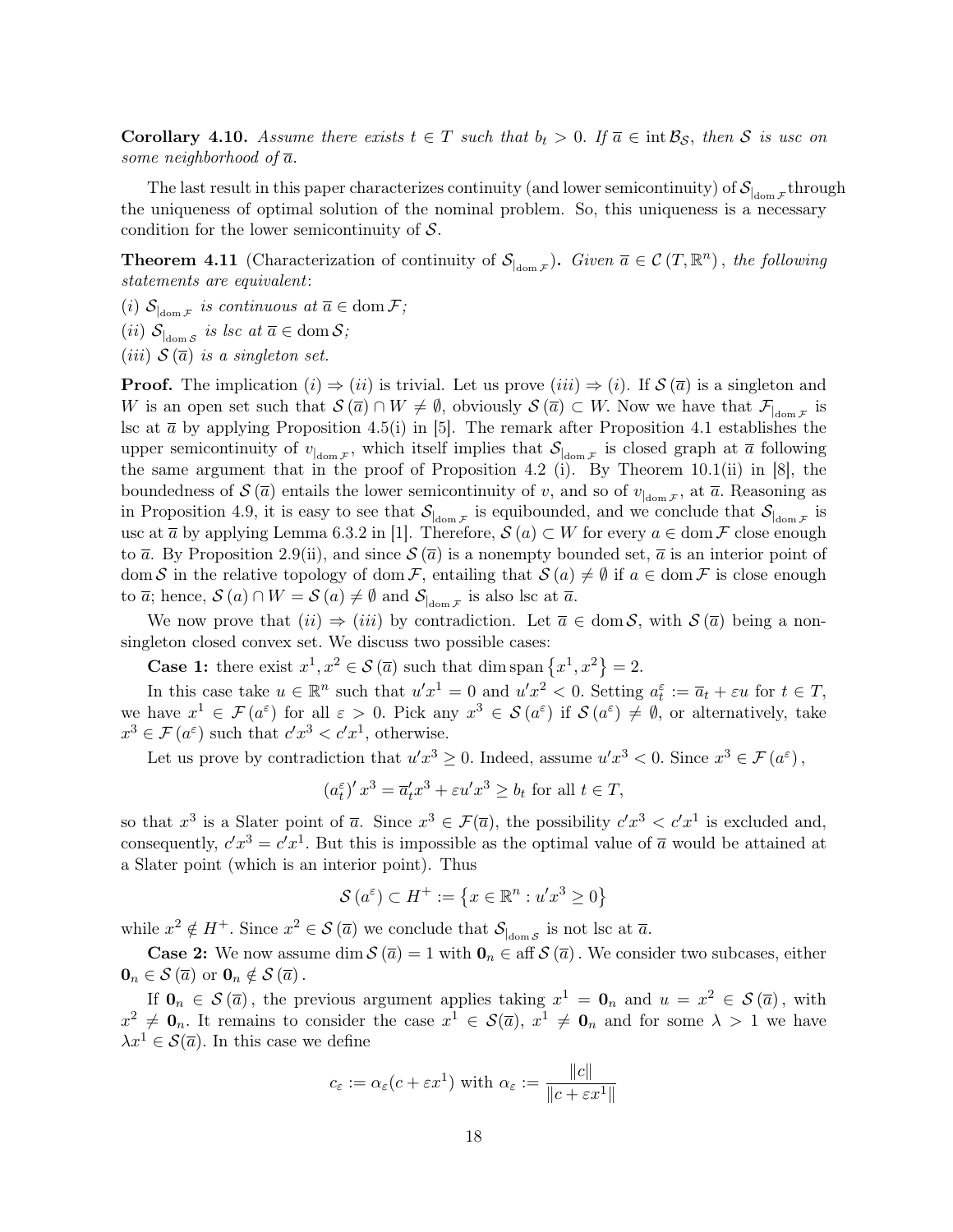**Corollary 4.10.** Assume there exists  $t \in T$  such that  $b_t > 0$ . If  $\overline{a} \in \text{int } B_{\mathcal{S}}$ , then S is use on some neighborhood of  $\overline{a}$ .

The last result in this paper characterizes continuity (and lower semicontinuity) of  $\mathcal{S}_{\vert_{\text{dom}\mathcal{F}}}$ through the uniqueness of optimal solution of the nominal problem. So, this uniqueness is a necessary condition for the lower semicontinuity of  $S$ .

**Theorem 4.11** (Characterization of continuity of  $\mathcal{S}_{\text{dom }\mathcal{F}}$ ). Given  $\overline{a} \in \mathcal{C}(T, \mathbb{R}^n)$ , the following statements are equivalent:

(i)  $S_{\text{dom } \mathcal{F}}$  is continuous at  $\overline{a} \in \text{dom } \mathcal{F}$ ;

(*ii*)  $S_{\vert \text{dom } S}$  *is lsc at*  $\overline{a} \in \text{dom } S$ ;

(*iii*)  $S(\overline{a})$  *is a singleton set.* 

**Proof.** The implication  $(i) \Rightarrow (ii)$  is trivial. Let us prove  $(iii) \Rightarrow (i)$ . If  $\mathcal{S}(\bar{a})$  is a singleton and W is an open set such that  $S(\overline{a}) \cap W \neq \emptyset$ , obviously  $S(\overline{a}) \subset W$ . Now we have that  $\mathcal{F}_{\text{dom } \mathcal{F}}$  is lsc at  $\bar{a}$  by applying Proposition 4.5(i) in [5]. The remark after Proposition 4.1 establishes the upper semicontinuity of  $v_{\vert_{\text{dom }\mathcal{F}}}$ , which itself implies that  $\mathcal{S}_{\vert_{\text{dom }\mathcal{F}}}$  is closed graph at  $\bar{a}$  following the same argument that in the proof of Proposition 4.2 (i). By Theorem  $10.1(i)$  in [8], the boundedness of  $\mathcal{S}(\bar{a})$  entails the lower semicontinuity of v, and so of  $v_{\vert \text{dom } \mathcal{F}}$ , at  $\bar{a}$ . Reasoning as in Proposition 4.9, it is easy to see that  $S_{\vert_{\text{dom } \mathcal{F}}}$  is equibounded, and we conclude that  $S_{\vert_{\text{dom } \mathcal{F}}}$  is usc at  $\overline{a}$  by applying Lemma 6.3.2 in [1]. Therefore,  $\mathcal{S}(a) \subset W$  for every  $a \in \text{dom } \mathcal{F}$  close enough to  $\bar{a}$ . By Proposition 2.9(ii), and since  $\mathcal{S}(\bar{a})$  is a nonempty bounded set,  $\bar{a}$  is an interior point of dom S in the relative topology of dom F, entailing that  $\mathcal{S}(a) \neq \emptyset$  if  $a \in \text{dom } \mathcal{F}$  is close enough to  $\overline{a}$ ; hence,  $\mathcal{S}(a) \cap W = \mathcal{S}(a) \neq \emptyset$  and  $\mathcal{S}_{\text{dom}\,\mathcal{F}}$  is also lsc at  $\overline{a}$ .

We now prove that  $(ii) \Rightarrow (iii)$  by contradiction. Let  $\bar{a} \in \text{dom } S$ , with  $S(\bar{a})$  being a nonsingleton closed convex set. We discuss two possible cases:

**Case 1:** there exist  $x^1, x^2 \in S(\overline{a})$  such that dim span  $\{x^1, x^2\} = 2$ .

In this case take  $u \in \mathbb{R}^n$  such that  $u'x^1 = 0$  and  $u'x^2 < 0$ . Setting  $a_t^{\varepsilon} := \overline{a}_t + \varepsilon u$  for  $t \in T$ , we have  $x^1 \in \mathcal{F}(a^{\varepsilon})$  for all  $\varepsilon > 0$ . Pick any  $x^3 \in \mathcal{S}(a^{\varepsilon})$  if  $\mathcal{S}(a^{\varepsilon}) \neq \emptyset$ , or alternatively, take  $x^3 \in \mathcal{F}(a^{\varepsilon})$  such that  $c'x^3 < c'x^1$ , otherwise.

Let us prove by contradiction that  $u'x^3 \geq 0$ . Indeed, assume  $u'x^3 < 0$ . Since  $x^3 \in \mathcal{F}(a^{\varepsilon})$ ,

 $(a_t^{\varepsilon})' x^3 = \overline{a}_t' x^3 + \varepsilon u' x^3 \ge b_t$  for all  $t \in T$ ,

so that  $x^3$  is a Slater point of  $\overline{a}$ . Since  $x^3 \in \mathcal{F}(\overline{a})$ , the possibility  $c'x^3 < c'x^1$  is excluded and, consequently,  $c'x^3 = c'x^1$ . But this is impossible as the optimal value of  $\overline{a}$  would be attained at a Slater point (which is an interior point). Thus

$$
\mathcal{S}(a^{\varepsilon}) \subset H^{+} := \{ x \in \mathbb{R}^{n} : u'x^{3} \ge 0 \}
$$

while  $x^2 \notin H^+$ . Since  $x^2 \in \mathcal{S}(\overline{a})$  we conclude that  $\mathcal{S}_{\vert_{\text{dom}\mathcal{S}}}$  is not lsc at  $\overline{a}$ .

**Case 2:** We now assume dim  $\mathcal{S}(\overline{a}) = 1$  with  $\mathbf{0}_n \in \text{aff } \mathcal{S}(\overline{a})$ . We consider two subcases, either  $\mathbf{0}_n \in \mathcal{S}(\overline{a})$  or  $\mathbf{0}_n \notin \mathcal{S}(\overline{a})$ .

If  $\mathbf{0}_n \in \mathcal{S}(\bar{a})$ , the previous argument applies taking  $x^1 = \mathbf{0}_n$  and  $u = x^2 \in \mathcal{S}(\bar{a})$ , with  $x^2 \neq \mathbf{0}_n$ . It remains to consider the case  $x^1 \in \mathcal{S}(\overline{a})$ ,  $x^1 \neq \mathbf{0}_n$  and for some  $\lambda > 1$  we have  $\lambda x^1 \in \mathcal{S}(\overline{a})$ . In this case we define

$$
c_{\varepsilon} := \alpha_{\varepsilon}(c + \varepsilon x^1)
$$
 with  $\alpha_{\varepsilon} := \frac{\|c\|}{\|c + \varepsilon x^1\|}$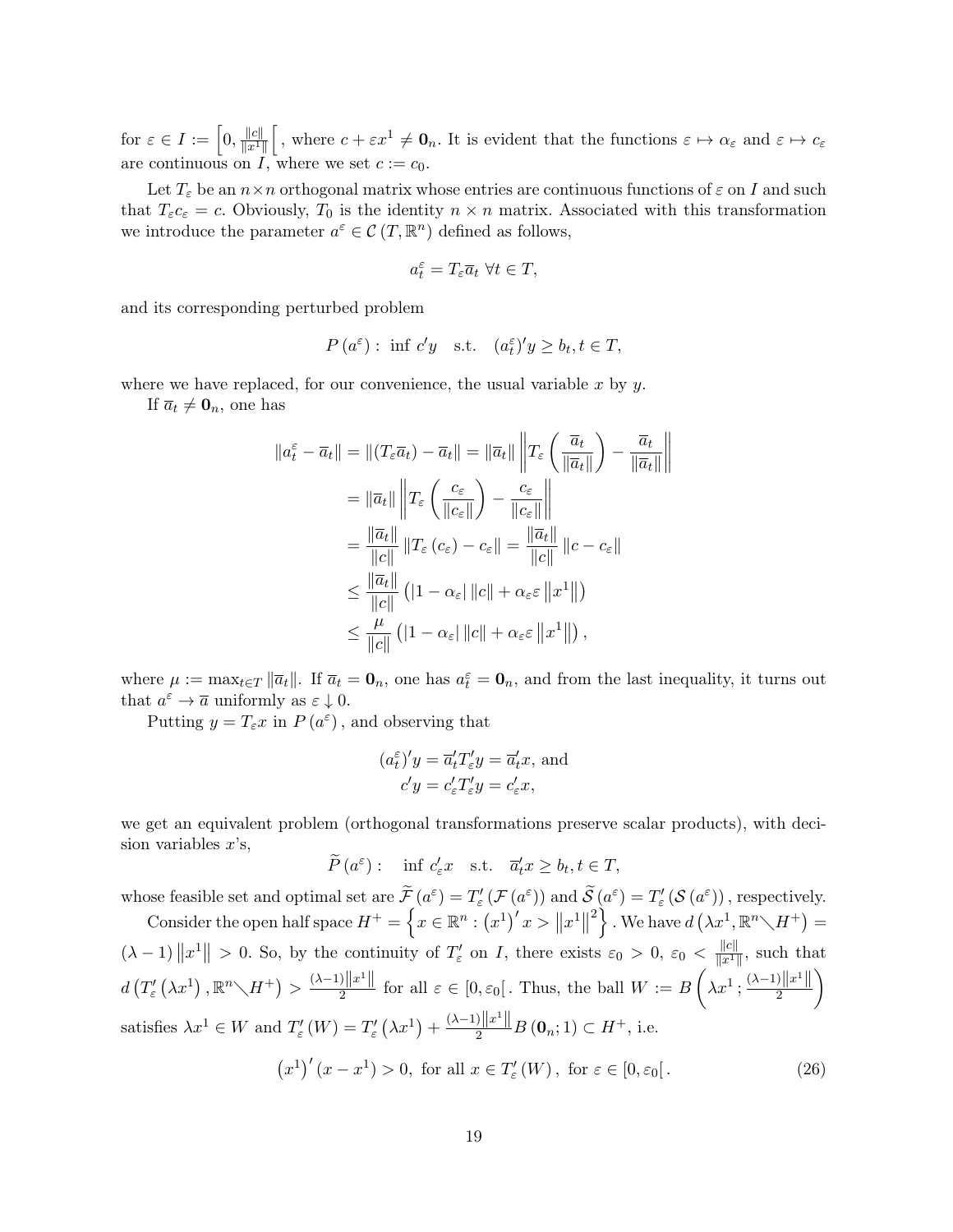for  $\varepsilon \in I := \left[0, \frac{\|c\|}{\|x\|}\right]$  $\frac{\|c\|}{\|x^1\|}$ , where  $c + \varepsilon x^1 \neq \mathbf{0}_n$ . It is evident that the functions  $\varepsilon \mapsto \alpha_{\varepsilon}$  and  $\varepsilon \mapsto c_{\varepsilon}$ are continuous on I, where we set  $c := c_0$ .

Let  $T_{\varepsilon}$  be an  $n \times n$  orthogonal matrix whose entries are continuous functions of  $\varepsilon$  on I and such that  $T_{\varepsilon}c_{\varepsilon}=c$ . Obviously,  $T_0$  is the identity  $n \times n$  matrix. Associated with this transformation we introduce the parameter  $a^{\varepsilon} \in \mathcal{C}(T, \mathbb{R}^n)$  defined as follows,

$$
a_t^\varepsilon = T_\varepsilon \overline{a}_t \; \forall t \in T,
$$

and its corresponding perturbed problem

$$
P(a^{\varepsilon})
$$
: inf  $c'y$  s.t.  $(a^{\varepsilon}_t)'y \ge b_t, t \in T$ ,

where we have replaced, for our convenience, the usual variable  $x$  by  $y$ .

If  $\overline{a}_t \neq \mathbf{0}_n$ , one has

$$
||a_{t}^{\varepsilon} - \overline{a}_{t}|| = ||(T_{\varepsilon}\overline{a}_{t}) - \overline{a}_{t}|| = ||\overline{a}_{t}|| ||T_{\varepsilon} \left(\frac{\overline{a}_{t}}{||\overline{a}_{t}||}\right) - \frac{\overline{a}_{t}}{||\overline{a}_{t}||}||
$$
  
\n
$$
= ||\overline{a}_{t}|| ||T_{\varepsilon} \left(\frac{c_{\varepsilon}}{||c_{\varepsilon}||}\right) - \frac{c_{\varepsilon}}{||c_{\varepsilon}||}||
$$
  
\n
$$
= \frac{||\overline{a}_{t}||}{||c||} ||T_{\varepsilon} (c_{\varepsilon}) - c_{\varepsilon}|| = \frac{||\overline{a}_{t}||}{||c||} ||c - c_{\varepsilon}||
$$
  
\n
$$
\leq \frac{||\overline{a}_{t}||}{||c||} (|1 - \alpha_{\varepsilon}| ||c|| + \alpha_{\varepsilon} \varepsilon ||x^{1}||)
$$
  
\n
$$
\leq \frac{\mu}{||c||} (|1 - \alpha_{\varepsilon}| ||c|| + \alpha_{\varepsilon} \varepsilon ||x^{1}||),
$$

where  $\mu := \max_{t \in T} ||\overline{a}_t||$ . If  $\overline{a}_t = \mathbf{0}_n$ , one has  $a_t^{\varepsilon} = \mathbf{0}_n$ , and from the last inequality, it turns out that  $a^{\varepsilon} \to \overline{a}$  uniformly as  $\varepsilon \downarrow 0$ .

Putting  $y = T_{\varepsilon} x$  in  $P(a^{\varepsilon})$ , and observing that

$$
(a_t^{\varepsilon})'y = \overline{a}'_tT'_{\varepsilon}y = \overline{a}'_tx
$$
, and  
\n $c'y = c'_{\varepsilon}T'_{\varepsilon}y = c'_{\varepsilon}x$ ,

we get an equivalent problem (orthogonal transformations preserve scalar products), with decision variables  $x$ 's,

 $\widetilde{P}(a^{\varepsilon}): \quad \text{inf } c'_{\varepsilon}x \quad \text{s.t.} \quad \overline{a}'_{t}x \geq b_{t}, t \in T,$ 

whose feasible set and optimal set are  $\widetilde{\mathcal{F}}(\mathfrak{a}^{\varepsilon}) = T'_{\varepsilon}(\mathcal{F}(\mathfrak{a}^{\varepsilon}))$  and  $\widetilde{\mathcal{S}}(\mathfrak{a}^{\varepsilon}) = T'_{\varepsilon}(\mathcal{S}(\mathfrak{a}^{\varepsilon}))$ , respectively. Consider the open half space  $H^{+} = \left\{x \in \mathbb{R}^{n} : (x^{1})' x > ||x^{1}|| \right\}$ <sup>2</sup>, We have  $d\left(\lambda x^1,\mathbb{R}^n\diagdown H^+\right)=$  $(\lambda - 1) \|x^1\| > 0$ . So, by the continuity of  $T'_{\varepsilon}$  on I, there exists  $\varepsilon_0 > 0$ ,  $\varepsilon_0 < \frac{\|c\|}{\|x^1\|}$  $\frac{\|C\|}{\|x^1\|}$ , such that  $d\left(T'_{\varepsilon}\left(\lambda x^{1}\right), \mathbb{R}^{n}\diagdown H^{+}\right)>\frac{(\lambda-1)\left\Vert x^{1}\right\Vert }{2}$  $\frac{\|x^1\|}{2}$  for all  $\varepsilon \in [0, \varepsilon_0[$ . Thus, the ball  $W := B\left(\lambda x^1; \frac{(\lambda-1)\|x^1\|}{2}\right)$ 2  $\setminus$ satisfies  $\lambda x^1 \in W$  and  $T'_{\varepsilon}(W) = T'_{\varepsilon}(\lambda x^1) + \frac{(\lambda - 1)\|x^1\|}{2}B(0_n; 1) \subset H^+$ , i.e.  $(x^{1})'(x - x^{1}) > 0$ , for all  $x \in T'_{\varepsilon}(W)$ , for  $\varepsilon \in [0, \varepsilon_{0}].$  (26)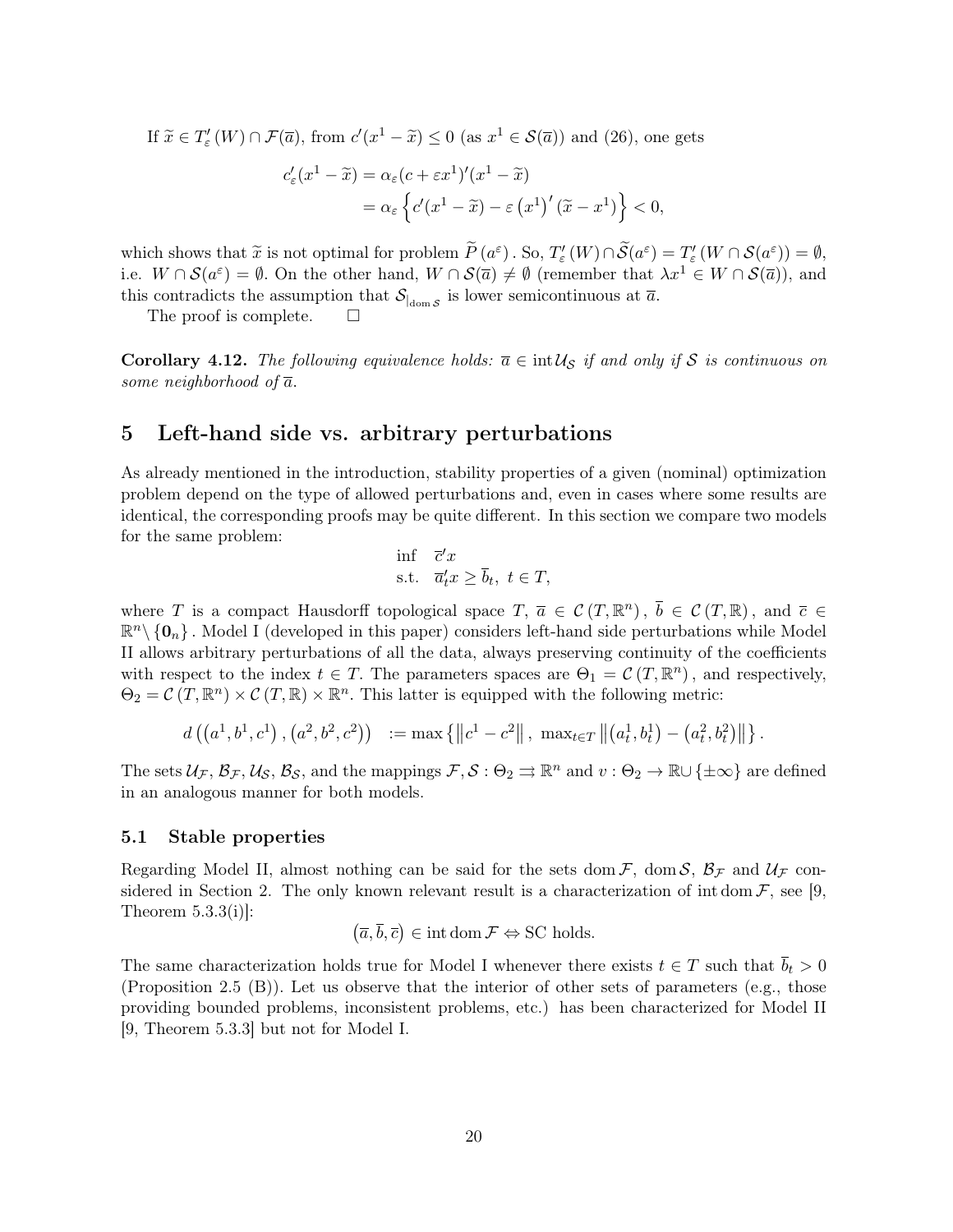If  $\widetilde{x} \in T'_{\varepsilon}(W) \cap \mathcal{F}(\overline{a})$ , from  $c'(x^1 - \widetilde{x}) \leq 0$  (as  $x^1 \in \mathcal{S}(\overline{a})$ ) and (26), one gets

$$
c'_{\varepsilon}(x^1 - \widetilde{x}) = \alpha_{\varepsilon}(c + \varepsilon x^1)'(x^1 - \widetilde{x})
$$
  
=  $\alpha_{\varepsilon} \left\{ c'(x^1 - \widetilde{x}) - \varepsilon (x^1)'(\widetilde{x} - x^1) \right\} < 0,$ 

which shows that  $\tilde{x}$  is not optimal for problem  $\tilde{P}(a^{\varepsilon})$ . So,  $T'_{\varepsilon}(W) \cap \tilde{S}(a^{\varepsilon}) = T'_{\varepsilon}(W) \cap S(a^{\varepsilon})) = \emptyset$ ,<br>i.e.  $W \cap S(a^{\varepsilon}) = \emptyset$ . On the other hand,  $W \cap S(\overline{a}) \neq \emptyset$  (remember that  $x^{\perp} \in W \cap S(\overline{$ i.e.  $W \cap \mathcal{S}(a^{\varepsilon}) = \emptyset$ . On the other hand,  $W \cap \mathcal{S}(\overline{a}) \neq \emptyset$  (remember that  $\lambda x^1 \in W \cap \mathcal{S}(\overline{a})$ ), and this contradicts the assumption that  $S_{\vert_{\text{dom }S}}$  is lower semicontinuous at  $\bar{a}$ .

The proof is complete.

Corollary 4.12. The following equivalence holds:  $\overline{a} \in \text{int } \mathcal{U}_S$  if and only if S is continuous on some neighborhood of  $\overline{a}$ .

## 5 Left-hand side vs. arbitrary perturbations

As already mentioned in the introduction, stability properties of a given (nominal) optimization problem depend on the type of allowed perturbations and, even in cases where some results are identical, the corresponding proofs may be quite different. In this section we compare two models for the same problem:

$$
\begin{aligned}\n\inf \quad & \overline{c}'x \\
\text{s.t.} \quad & \overline{a}'_t x \ge \overline{b}_t, \ t \in T,\n\end{aligned}
$$

where T is a compact Hausdorff topological space  $T, \bar{a} \in \mathcal{C}(T, \mathbb{R}^n), \bar{b} \in \mathcal{C}(T, \mathbb{R}),$  and  $\bar{c} \in$  $\mathbb{R}^n \setminus \{0_n\}$ . Model I (developed in this paper) considers left-hand side perturbations while Model II allows arbitrary perturbations of all the data, always preserving continuity of the coefficients with respect to the index  $t \in T$ . The parameters spaces are  $\Theta_1 = \mathcal{C}(T, \mathbb{R}^n)$ , and respectively,  $\Theta_2 = \mathcal{C}(T, \mathbb{R}^n) \times \mathcal{C}(T, \mathbb{R}) \times \mathbb{R}^n$ . This latter is equipped with the following metric:

$$
d\left(\left(a^1,b^1,c^1\right),\left(a^2,b^2,c^2\right)\right) := \max\left\{\left\|c^1-c^2\right\|,\ \max_{t\in\mathcal{T}}\left\|\left(a^1_t,b^1_t\right)-\left(a^2_t,b^2_t\right)\right\|\right\}.
$$

The sets  $\mathcal{U}_{\mathcal{F}}, \mathcal{B}_{\mathcal{F}}, \mathcal{U}_{\mathcal{S}}, \mathcal{B}_{\mathcal{S}},$  and the mappings  $\mathcal{F}, \mathcal{S} : \Theta_2 \rightrightarrows \mathbb{R}^n$  and  $v : \Theta_2 \to \mathbb{R} \cup {\pm \infty}$  are defined in an analogous manner for both models.

### 5.1 Stable properties

Regarding Model II, almost nothing can be said for the sets dom  $\mathcal{F}$ , dom  $\mathcal{S}$ ,  $\mathcal{B}_{\mathcal{F}}$  and  $\mathcal{U}_{\mathcal{F}}$  considered in Section 2. The only known relevant result is a characterization of int dom  $\mathcal{F}$ , see [9, Theorem 5.3.3(i)]:

$$
(\overline{a}, \overline{b}, \overline{c}) \in \text{int dom } \mathcal{F} \Leftrightarrow \text{SC holds.}
$$

The same characterization holds true for Model I whenever there exists  $t \in T$  such that  $\bar{b}_t > 0$ (Proposition 2.5 (B)). Let us observe that the interior of other sets of parameters (e.g., those providing bounded problems, inconsistent problems, etc.) has been characterized for Model II [9, Theorem 5.3.3] but not for Model I.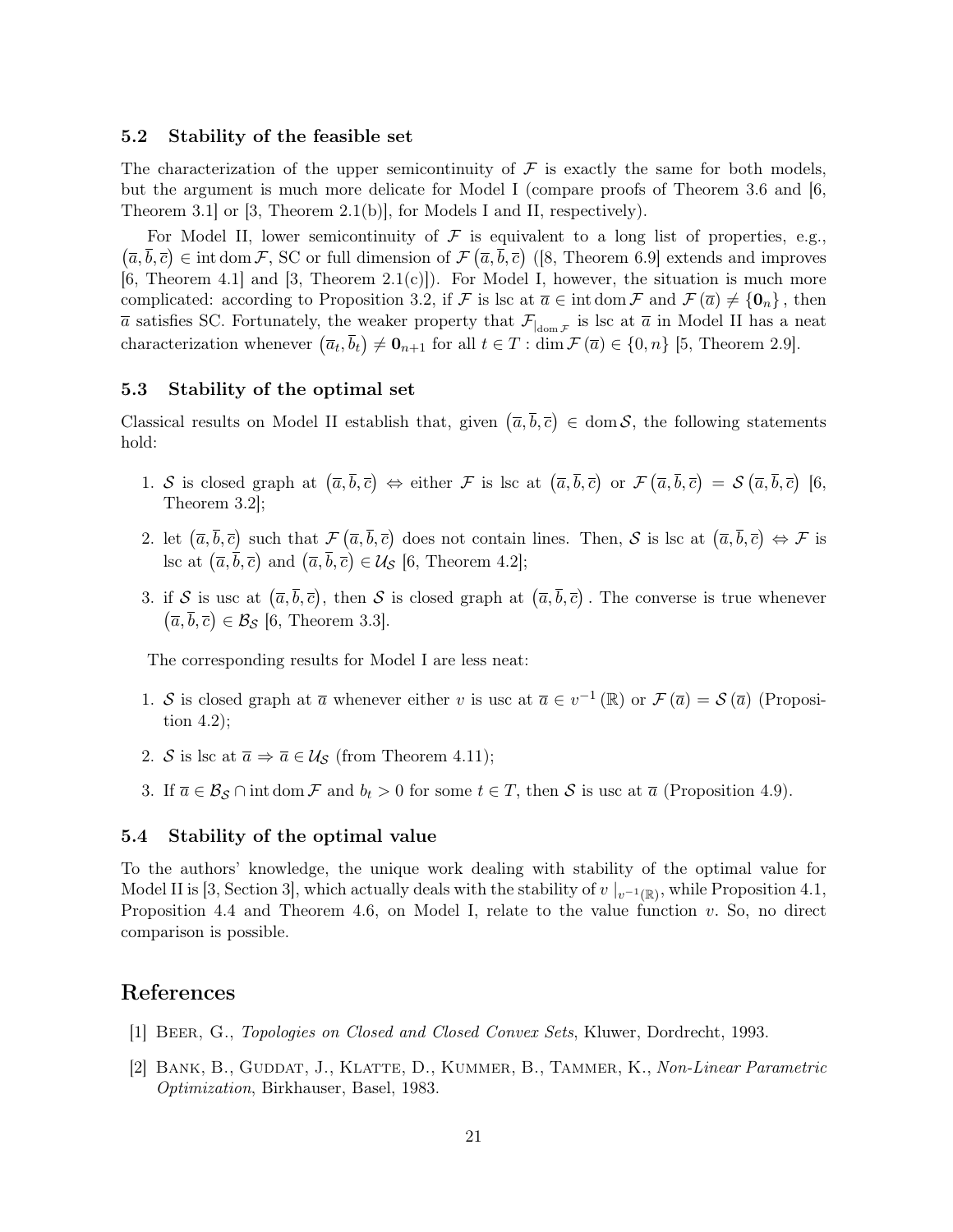#### 5.2 Stability of the feasible set

The characterization of the upper semicontinuity of  $\mathcal F$  is exactly the same for both models, but the argument is much more delicate for Model I (compare proofs of Theorem 3.6 and [6, Theorem 3.1] or [3, Theorem 2.1(b)], for Models I and II, respectively).

For Model II, lower semicontinuity of  $\mathcal F$  is equivalent to a long list of properties, e.g.,  $(\overline{a}, \overline{b}, \overline{c}) \in \text{int dom}\,\mathcal{F}, \text{SC or full dimension of } \mathcal{F}(\overline{a}, \overline{b}, \overline{c})$  ([8, Theorem 6.9] extends and improves  $[6,$  Theorem 4.1 and  $[3,$  Theorem 2.1(c)]). For Model I, however, the situation is much more complicated: according to Proposition 3.2, if F is lsc at  $\overline{a} \in \text{int dom }\mathcal{F}$  and  $\mathcal{F}(\overline{a}) \neq \{0_n\}$ , then  $\bar{a}$  satisfies SC. Fortunately, the weaker property that  $\mathcal{F}_{\text{dom } \mathcal{F}}$  is lsc at  $\bar{a}$  in Model II has a neat characterization whenever  $(\bar{a}_t, \bar{b}_t) \neq \mathbf{0}_{n+1}$  for all  $t \in T : \dim \mathcal{F}(\bar{a}) \in \{0, n\}$  [5, Theorem 2.9].

### 5.3 Stability of the optimal set

Classical results on Model II establish that, given  $(\bar{a}, \bar{b}, \bar{c}) \in \text{dom } S$ , the following statements hold:

- 1. S is closed graph at  $(\overline{a}, \overline{b}, \overline{c}) \Leftrightarrow$  either F is lsc at  $(\overline{a}, \overline{b}, \overline{c})$  or  $\mathcal{F}(\overline{a}, \overline{b}, \overline{c}) = \mathcal{S}(\overline{a}, \overline{b}, \overline{c})$  [6, Theorem 3.2];
- 2. let  $(\overline{a}, \overline{b}, \overline{c})$  such that  $\mathcal{F}(\overline{a}, \overline{b}, \overline{c})$  does not contain lines. Then, S is lsc at  $(\overline{a}, \overline{b}, \overline{c}) \Leftrightarrow \mathcal{F}$  is lsc at  $(\overline{a}, \overline{b}, \overline{c})$  and  $(\overline{a}, \overline{b}, \overline{c}) \in \mathcal{U}_{\mathcal{S}}$  [6, Theorem 4.2];
- 3. if S is usc at  $(\bar{a}, \bar{b}, \bar{c})$ , then S is closed graph at  $(\bar{a}, \bar{b}, \bar{c})$ . The converse is true whenever  $(\overline{a}, \overline{b}, \overline{c}) \in \mathcal{B}_{\mathcal{S}}$  [6, Theorem 3.3].

The corresponding results for Model I are less neat:

- 1. S is closed graph at  $\overline{a}$  whenever either v is usc at  $\overline{a} \in v^{-1}(\mathbb{R})$  or  $\mathcal{F}(\overline{a}) = \mathcal{S}(\overline{a})$  (Proposition 4.2);
- 2. S is lsc at  $\overline{a} \Rightarrow \overline{a} \in \mathcal{U}_{\mathcal{S}}$  (from Theorem 4.11);
- 3. If  $\overline{a} \in \mathcal{B}_{\mathcal{S}} \cap \text{int dom }\mathcal{F}$  and  $b_t > 0$  for some  $t \in \mathcal{T}$ , then  $\mathcal{S}$  is usc at  $\overline{a}$  (Proposition 4.9).

#### 5.4 Stability of the optimal value

To the authors' knowledge, the unique work dealing with stability of the optimal value for Model II is [3, Section 3], which actually deals with the stability of  $v \mid_{v^{-1}(\mathbb{R})}$ , while Proposition 4.1, Proposition 4.4 and Theorem 4.6, on Model I, relate to the value function  $v$ . So, no direct comparison is possible.

# References

- [1] Beer, G., Topologies on Closed and Closed Convex Sets, Kluwer, Dordrecht, 1993.
- [2] BANK, B., GUDDAT, J., KLATTE, D., KUMMER, B., TAMMER, K., Non-Linear Parametric Optimization, Birkhauser, Basel, 1983.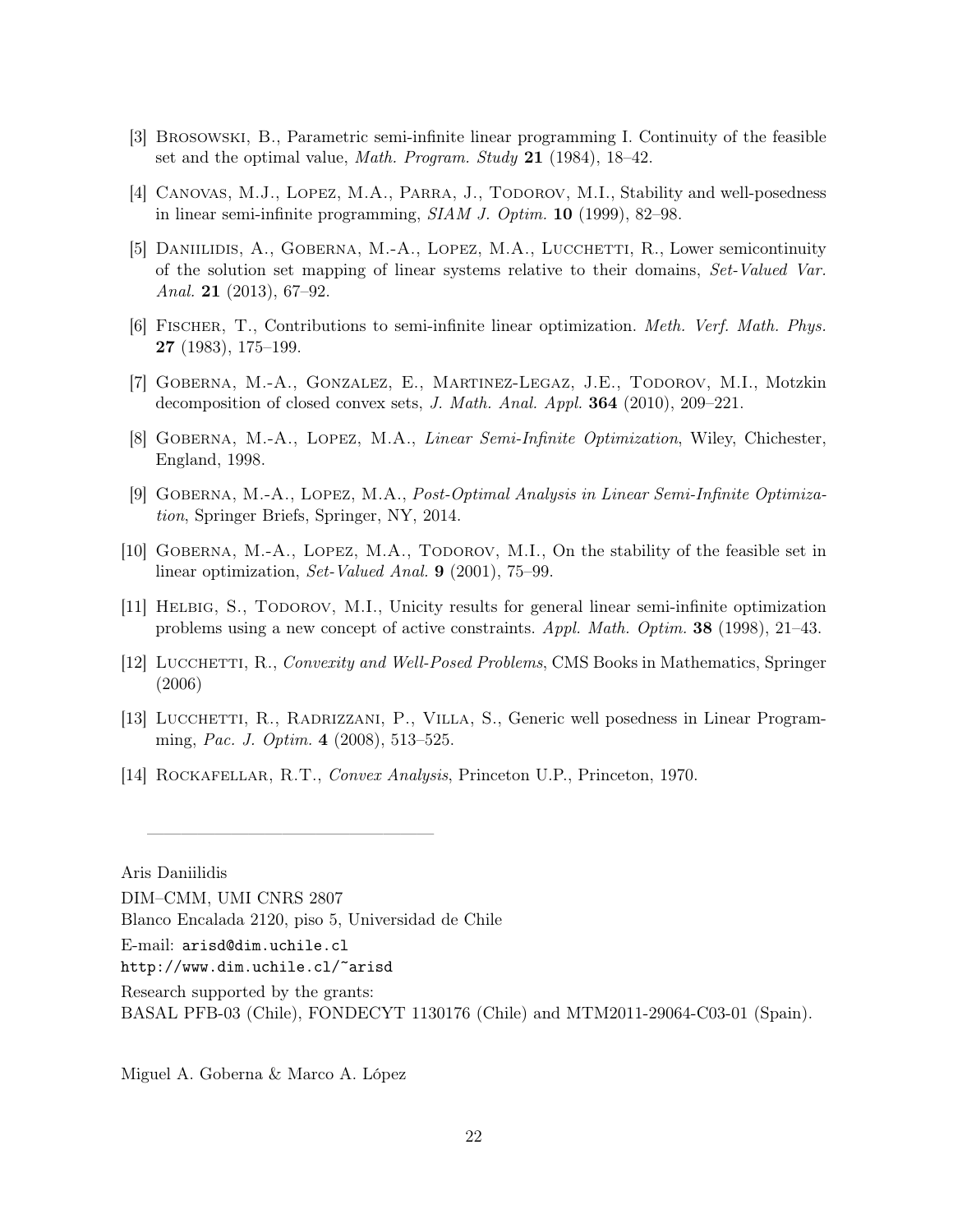- [3] Brosowski, B., Parametric semi-infinite linear programming I. Continuity of the feasible set and the optimal value, Math. Program. Study 21 (1984), 18–42.
- [4] Canovas, M.J., Lopez, M.A., Parra, J., Todorov, M.I., Stability and well-posedness in linear semi-infinite programming, SIAM J. Optim. 10 (1999), 82–98.
- [5] Daniilidis, A., Goberna, M.-A., Lopez, M.A., Lucchetti, R., Lower semicontinuity of the solution set mapping of linear systems relative to their domains, Set-Valued Var. Anal. 21 (2013), 67–92.
- [6] Fischer, T., Contributions to semi-infinite linear optimization. Meth. Verf. Math. Phys. 27 (1983), 175–199.
- [7] Goberna, M.-A., Gonzalez, E., Martinez-Legaz, J.E., Todorov, M.I., Motzkin decomposition of closed convex sets, J. Math. Anal. Appl.  $364$  (2010), 209–221.
- [8] Goberna, M.-A., Lopez, M.A., Linear Semi-Infinite Optimization, Wiley, Chichester, England, 1998.
- [9] Goberna, M.-A., Lopez, M.A., Post-Optimal Analysis in Linear Semi-Infinite Optimization, Springer Briefs, Springer, NY, 2014.
- [10] GOBERNA, M.-A., LOPEZ, M.A., TODOROV, M.I., On the stability of the feasible set in linear optimization, Set-Valued Anal. 9 (2001), 75–99.
- [11] Helbig, S., Todorov, M.I., Unicity results for general linear semi-infinite optimization problems using a new concept of active constraints. Appl. Math. Optim. 38 (1998), 21–43.
- [12] LUCCHETTI, R., Convexity and Well-Posed Problems, CMS Books in Mathematics, Springer (2006)
- [13] LUCCHETTI, R., RADRIZZANI, P., VILLA, S., Generic well posedness in Linear Programming, Pac. J. Optim. 4 (2008), 513–525.
- [14] Rockafellar, R.T., Convex Analysis, Princeton U.P., Princeton, 1970.

Aris Daniilidis

Blanco Encalada 2120, piso 5, Universidad de Chile

—————————————————

E-mail: arisd@dim.uchile.cl

http://www.dim.uchile.cl/~arisd

Research supported by the grants:

BASAL PFB-03 (Chile), FONDECYT 1130176 (Chile) and MTM2011-29064-C03-01 (Spain).

Miguel A. Goberna & Marco A. López

DIM–CMM, UMI CNRS 2807